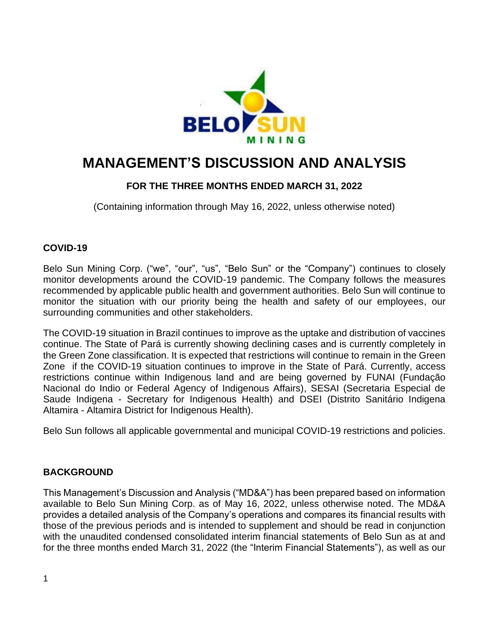

# **MANAGEMENT'S DISCUSSION AND ANALYSIS**

### **FOR THE THREE MONTHS ENDED MARCH 31, 2022**

(Containing information through May 16, 2022, unless otherwise noted)

### **COVID-19**

Belo Sun Mining Corp. ("we", "our", "us", "Belo Sun" or the "Company") continues to closely monitor developments around the COVID-19 pandemic. The Company follows the measures recommended by applicable public health and government authorities. Belo Sun will continue to monitor the situation with our priority being the health and safety of our employees, our surrounding communities and other stakeholders.

The COVID-19 situation in Brazil continues to improve as the uptake and distribution of vaccines continue. The State of Pará is currently showing declining cases and is currently completely in the Green Zone classification. It is expected that restrictions will continue to remain in the Green Zone if the COVID-19 situation continues to improve in the State of Pará. Currently, access restrictions continue within Indigenous land and are being governed by FUNAI (Fundação Nacional do Indio or Federal Agency of Indigenous Affairs), SESAI (Secretaria Especial de Saude Indigena - Secretary for Indigenous Health) and DSEI (Distrito Sanitário Indigena Altamira - Altamira District for Indigenous Health).

Belo Sun follows all applicable governmental and municipal COVID-19 restrictions and policies.

### **BACKGROUND**

This Management's Discussion and Analysis ("MD&A") has been prepared based on information available to Belo Sun Mining Corp. as of May 16, 2022, unless otherwise noted. The MD&A provides a detailed analysis of the Company's operations and compares its financial results with those of the previous periods and is intended to supplement and should be read in conjunction with the unaudited condensed consolidated interim financial statements of Belo Sun as at and for the three months ended March 31, 2022 (the "Interim Financial Statements"), as well as our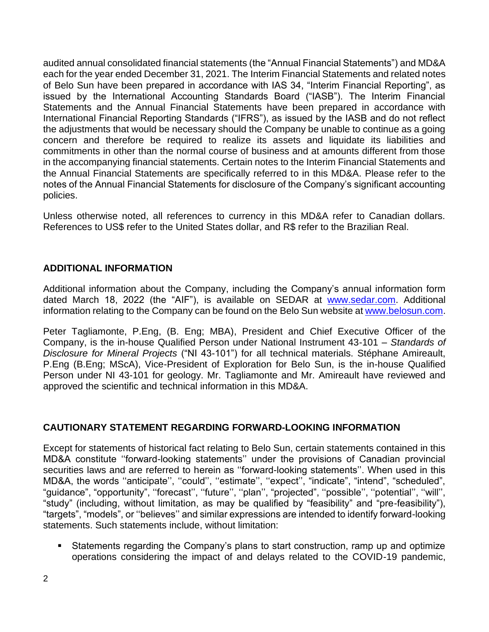audited annual consolidated financial statements (the "Annual Financial Statements") and MD&A each for the year ended December 31, 2021. The Interim Financial Statements and related notes of Belo Sun have been prepared in accordance with IAS 34, "Interim Financial Reporting", as issued by the International Accounting Standards Board ("IASB"). The Interim Financial Statements and the Annual Financial Statements have been prepared in accordance with International Financial Reporting Standards ("IFRS"), as issued by the IASB and do not reflect the adjustments that would be necessary should the Company be unable to continue as a going concern and therefore be required to realize its assets and liquidate its liabilities and commitments in other than the normal course of business and at amounts different from those in the accompanying financial statements. Certain notes to the Interim Financial Statements and the Annual Financial Statements are specifically referred to in this MD&A. Please refer to the notes of the Annual Financial Statements for disclosure of the Company's significant accounting policies.

Unless otherwise noted, all references to currency in this MD&A refer to Canadian dollars. References to US\$ refer to the United States dollar, and R\$ refer to the Brazilian Real.

### **ADDITIONAL INFORMATION**

Additional information about the Company, including the Company's annual information form dated March 18, 2022 (the "AIF"), is available on SEDAR at [www.sedar.com.](http://www.sedar.com/) Additional information relating to the Company can be found on the Belo Sun website at [www.belosun.com.](http://www.belosun.com/)

Peter Tagliamonte, P.Eng, (B. Eng; MBA), President and Chief Executive Officer of the Company, is the in-house Qualified Person under National Instrument 43-101 – *Standards of Disclosure for Mineral Projects* ("NI 43-101") for all technical materials. Stéphane Amireault, P.Eng (B.Eng; MScA), Vice-President of Exploration for Belo Sun, is the in-house Qualified Person under NI 43-101 for geology. Mr. Tagliamonte and Mr. Amireault have reviewed and approved the scientific and technical information in this MD&A.

#### **CAUTIONARY STATEMENT REGARDING FORWARD-LOOKING INFORMATION**

Except for statements of historical fact relating to Belo Sun, certain statements contained in this MD&A constitute ''forward-looking statements'' under the provisions of Canadian provincial securities laws and are referred to herein as ''forward-looking statements''. When used in this MD&A, the words ''anticipate'', ''could'', ''estimate'', ''expect'', "indicate", "intend", "scheduled", "guidance", "opportunity", ''forecast'', ''future'', ''plan'', "projected", ''possible'', ''potential'', ''will'', "study" (including, without limitation, as may be qualified by "feasibility" and "pre-feasibility"), "targets", "models", or ''believes'' and similar expressions are intended to identify forward-looking statements. Such statements include, without limitation:

Statements regarding the Company's plans to start construction, ramp up and optimize operations considering the impact of and delays related to the COVID-19 pandemic,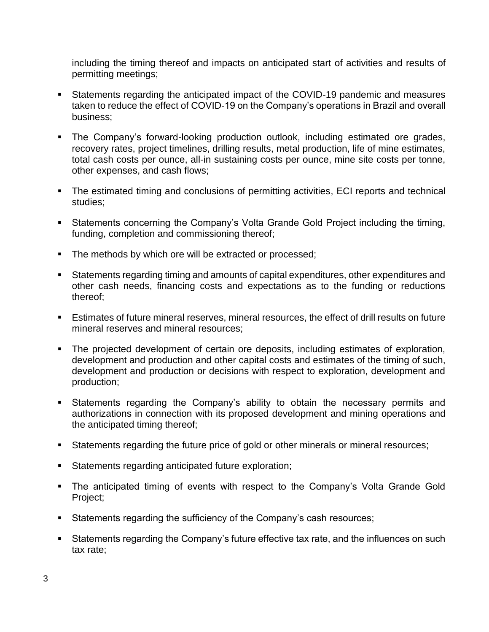including the timing thereof and impacts on anticipated start of activities and results of permitting meetings;

- Statements regarding the anticipated impact of the COVID-19 pandemic and measures taken to reduce the effect of COVID-19 on the Company's operations in Brazil and overall business;
- The Company's forward-looking production outlook, including estimated ore grades, recovery rates, project timelines, drilling results, metal production, life of mine estimates, total cash costs per ounce, all-in sustaining costs per ounce, mine site costs per tonne, other expenses, and cash flows;
- The estimated timing and conclusions of permitting activities, ECI reports and technical studies;
- Statements concerning the Company's Volta Grande Gold Project including the timing, funding, completion and commissioning thereof;
- The methods by which ore will be extracted or processed;
- Statements regarding timing and amounts of capital expenditures, other expenditures and other cash needs, financing costs and expectations as to the funding or reductions thereof;
- **Estimates of future mineral reserves, mineral resources, the effect of drill results on future** mineral reserves and mineral resources;
- The projected development of certain ore deposits, including estimates of exploration, development and production and other capital costs and estimates of the timing of such, development and production or decisions with respect to exploration, development and production;
- Statements regarding the Company's ability to obtain the necessary permits and authorizations in connection with its proposed development and mining operations and the anticipated timing thereof;
- Statements regarding the future price of gold or other minerals or mineral resources;
- Statements regarding anticipated future exploration;
- The anticipated timing of events with respect to the Company's Volta Grande Gold Project;
- Statements regarding the sufficiency of the Company's cash resources;
- Statements regarding the Company's future effective tax rate, and the influences on such tax rate;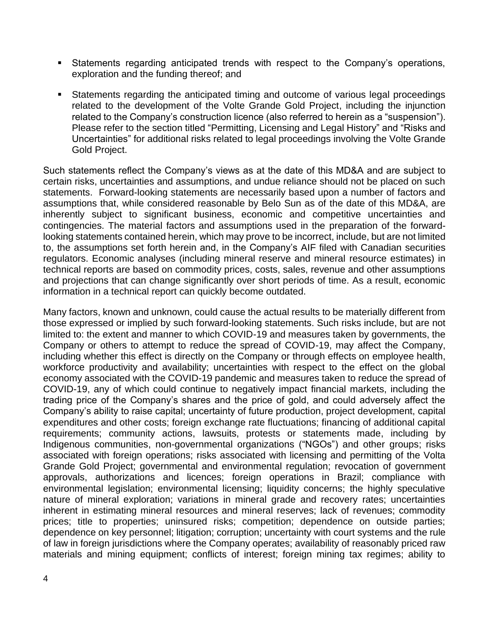- Statements regarding anticipated trends with respect to the Company's operations, exploration and the funding thereof; and
- Statements regarding the anticipated timing and outcome of various legal proceedings related to the development of the Volte Grande Gold Project, including the injunction related to the Company's construction licence (also referred to herein as a "suspension"). Please refer to the section titled "Permitting, Licensing and Legal History" and "Risks and Uncertainties" for additional risks related to legal proceedings involving the Volte Grande Gold Project.

Such statements reflect the Company's views as at the date of this MD&A and are subject to certain risks, uncertainties and assumptions, and undue reliance should not be placed on such statements. Forward-looking statements are necessarily based upon a number of factors and assumptions that, while considered reasonable by Belo Sun as of the date of this MD&A, are inherently subject to significant business, economic and competitive uncertainties and contingencies. The material factors and assumptions used in the preparation of the forwardlooking statements contained herein, which may prove to be incorrect, include, but are not limited to, the assumptions set forth herein and, in the Company's AIF filed with Canadian securities regulators. Economic analyses (including mineral reserve and mineral resource estimates) in technical reports are based on commodity prices, costs, sales, revenue and other assumptions and projections that can change significantly over short periods of time. As a result, economic information in a technical report can quickly become outdated.

Many factors, known and unknown, could cause the actual results to be materially different from those expressed or implied by such forward-looking statements. Such risks include, but are not limited to: the extent and manner to which COVID-19 and measures taken by governments, the Company or others to attempt to reduce the spread of COVID-19, may affect the Company, including whether this effect is directly on the Company or through effects on employee health, workforce productivity and availability; uncertainties with respect to the effect on the global economy associated with the COVID-19 pandemic and measures taken to reduce the spread of COVID-19, any of which could continue to negatively impact financial markets, including the trading price of the Company's shares and the price of gold, and could adversely affect the Company's ability to raise capital; uncertainty of future production, project development, capital expenditures and other costs; foreign exchange rate fluctuations; financing of additional capital requirements; community actions, lawsuits, protests or statements made, including by Indigenous communities, non-governmental organizations ("NGOs") and other groups; risks associated with foreign operations; risks associated with licensing and permitting of the Volta Grande Gold Project; governmental and environmental regulation; revocation of government approvals, authorizations and licences; foreign operations in Brazil; compliance with environmental legislation; environmental licensing; liquidity concerns; the highly speculative nature of mineral exploration; variations in mineral grade and recovery rates; uncertainties inherent in estimating mineral resources and mineral reserves; lack of revenues; commodity prices; title to properties; uninsured risks; competition; dependence on outside parties; dependence on key personnel; litigation; corruption; uncertainty with court systems and the rule of law in foreign jurisdictions where the Company operates; availability of reasonably priced raw materials and mining equipment; conflicts of interest; foreign mining tax regimes; ability to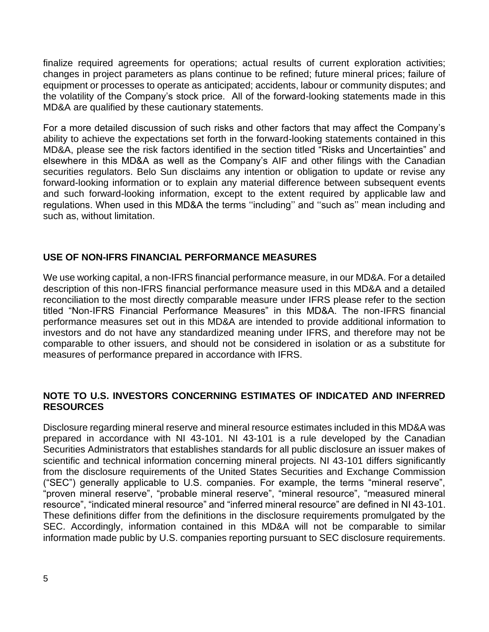finalize required agreements for operations; actual results of current exploration activities; changes in project parameters as plans continue to be refined; future mineral prices; failure of equipment or processes to operate as anticipated; accidents, labour or community disputes; and the volatility of the Company's stock price. All of the forward-looking statements made in this MD&A are qualified by these cautionary statements.

For a more detailed discussion of such risks and other factors that may affect the Company's ability to achieve the expectations set forth in the forward-looking statements contained in this MD&A, please see the risk factors identified in the section titled "Risks and Uncertainties" and elsewhere in this MD&A as well as the Company's AIF and other filings with the Canadian securities regulators. Belo Sun disclaims any intention or obligation to update or revise any forward-looking information or to explain any material difference between subsequent events and such forward-looking information, except to the extent required by applicable law and regulations. When used in this MD&A the terms ''including'' and ''such as'' mean including and such as, without limitation.

### **USE OF NON-IFRS FINANCIAL PERFORMANCE MEASURES**

We use working capital, a non-IFRS financial performance measure, in our MD&A. For a detailed description of this non-IFRS financial performance measure used in this MD&A and a detailed reconciliation to the most directly comparable measure under IFRS please refer to the section titled "Non-IFRS Financial Performance Measures" in this MD&A. The non-IFRS financial performance measures set out in this MD&A are intended to provide additional information to investors and do not have any standardized meaning under IFRS, and therefore may not be comparable to other issuers, and should not be considered in isolation or as a substitute for measures of performance prepared in accordance with IFRS.

### **NOTE TO U.S. INVESTORS CONCERNING ESTIMATES OF INDICATED AND INFERRED RESOURCES**

Disclosure regarding mineral reserve and mineral resource estimates included in this MD&A was prepared in accordance with NI 43-101. NI 43-101 is a rule developed by the Canadian Securities Administrators that establishes standards for all public disclosure an issuer makes of scientific and technical information concerning mineral projects. NI 43-101 differs significantly from the disclosure requirements of the United States Securities and Exchange Commission ("SEC") generally applicable to U.S. companies. For example, the terms "mineral reserve", "proven mineral reserve", "probable mineral reserve", "mineral resource", "measured mineral resource", "indicated mineral resource" and "inferred mineral resource" are defined in NI 43-101. These definitions differ from the definitions in the disclosure requirements promulgated by the SEC. Accordingly, information contained in this MD&A will not be comparable to similar information made public by U.S. companies reporting pursuant to SEC disclosure requirements.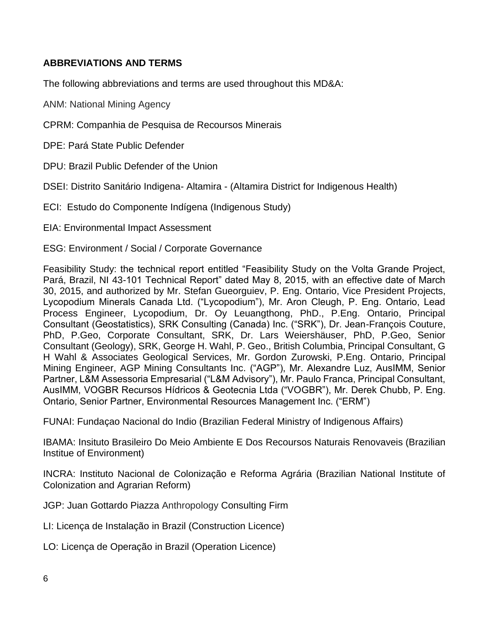### **ABBREVIATIONS AND TERMS**

The following abbreviations and terms are used throughout this MD&A:

ANM: National Mining Agency

CPRM: Companhia de Pesquisa de Recoursos Minerais

DPE: Pará State Public Defender

DPU: Brazil Public Defender of the Union

DSEI: Distrito Sanitário Indigena- Altamira - (Altamira District for Indigenous Health)

- ECI: Estudo do Componente Indígena (Indigenous Study)
- EIA: Environmental Impact Assessment

ESG: Environment / Social / Corporate Governance

Feasibility Study: the technical report entitled "Feasibility Study on the Volta Grande Project, Pará, Brazil, NI 43-101 Technical Report" dated May 8, 2015, with an effective date of March 30, 2015, and authorized by Mr. Stefan Gueorguiev, P. Eng. Ontario, Vice President Projects, Lycopodium Minerals Canada Ltd. ("Lycopodium"), Mr. Aron Cleugh, P. Eng. Ontario, Lead Process Engineer, Lycopodium, Dr. Oy Leuangthong, PhD., P.Eng. Ontario, Principal Consultant (Geostatistics), SRK Consulting (Canada) Inc. ("SRK"), Dr. Jean-François Couture, PhD, P.Geo, Corporate Consultant, SRK, Dr. Lars Weiershäuser, PhD, P.Geo, Senior Consultant (Geology), SRK, George H. Wahl, P. Geo., British Columbia, Principal Consultant, G H Wahl & Associates Geological Services, Mr. Gordon Zurowski, P.Eng. Ontario, Principal Mining Engineer, AGP Mining Consultants Inc. ("AGP"), Mr. Alexandre Luz, AusIMM, Senior Partner, L&M Assessoria Empresarial ("L&M Advisory"), Mr. Paulo Franca, Principal Consultant, AusIMM, VOGBR Recursos Hídricos & Geotecnia Ltda ("VOGBR"), Mr. Derek Chubb, P. Eng. Ontario, Senior Partner, Environmental Resources Management Inc. ("ERM")

FUNAI: Fundaçao Nacional do Indio (Brazilian Federal Ministry of Indigenous Affairs)

IBAMA: Insituto Brasileiro Do Meio Ambiente E Dos Recoursos Naturais Renovaveis (Brazilian Institue of Environment)

INCRA: Instituto Nacional de Colonização e Reforma Agrária (Brazilian National Institute of Colonization and Agrarian Reform)

JGP: Juan Gottardo Piazza Anthropology Consulting Firm

LI: Licença de Instalação in Brazil (Construction Licence)

LO: Licença de Operação in Brazil (Operation Licence)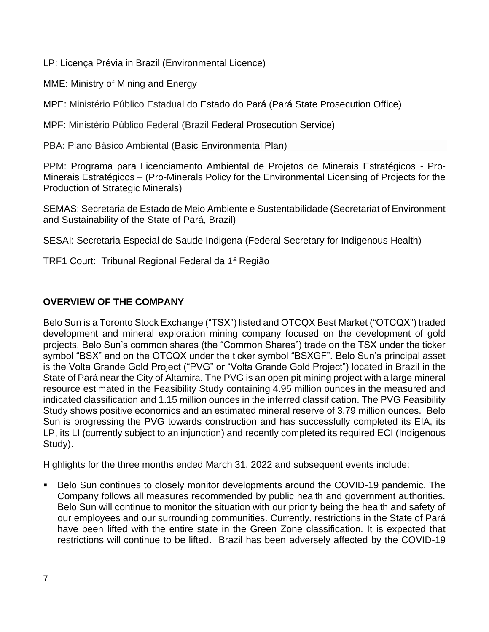LP: Licença Prévia in Brazil (Environmental Licence)

MME: Ministry of Mining and Energy

MPE: Ministério Público Estadual do Estado do Pará (Pará State Prosecution Office)

MPF: Ministério Público Federal (Brazil Federal Prosecution Service)

PBA: Plano Básico Ambiental (Basic Environmental Plan)

PPM: Programa para Licenciamento Ambiental de Projetos de Minerais Estratégicos - Pro-Minerais Estratégicos – (Pro-Minerals Policy for the Environmental Licensing of Projects for the Production of Strategic Minerals)

SEMAS: Secretaria de Estado de Meio Ambiente e Sustentabilidade (Secretariat of Environment and Sustainability of the State of Pará, Brazil)

SESAI: Secretaria Especial de Saude Indigena (Federal Secretary for Indigenous Health)

TRF1 Court: Tribunal Regional Federal da *1ª* Região

### **OVERVIEW OF THE COMPANY**

Belo Sun is a Toronto Stock Exchange ("TSX") listed and OTCQX Best Market ("OTCQX") traded development and mineral exploration mining company focused on the development of gold projects. Belo Sun's common shares (the "Common Shares") trade on the TSX under the ticker symbol "BSX" and on the OTCQX under the ticker symbol "BSXGF". Belo Sun's principal asset is the Volta Grande Gold Project ("PVG" or "Volta Grande Gold Project") located in Brazil in the State of Pará near the City of Altamira. The PVG is an open pit mining project with a large mineral resource estimated in the Feasibility Study containing 4.95 million ounces in the measured and indicated classification and 1.15 million ounces in the inferred classification. The PVG Feasibility Study shows positive economics and an estimated mineral reserve of 3.79 million ounces. Belo Sun is progressing the PVG towards construction and has successfully completed its EIA, its LP, its LI (currently subject to an injunction) and recently completed its required ECI (Indigenous Study).

Highlights for the three months ended March 31, 2022 and subsequent events include:

Belo Sun continues to closely monitor developments around the COVID-19 pandemic. The Company follows all measures recommended by public health and government authorities. Belo Sun will continue to monitor the situation with our priority being the health and safety of our employees and our surrounding communities. Currently, restrictions in the State of Pará have been lifted with the entire state in the Green Zone classification. It is expected that restrictions will continue to be lifted. Brazil has been adversely affected by the COVID-19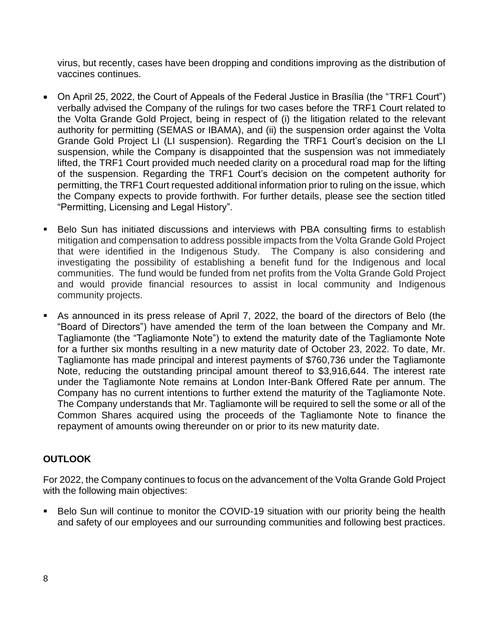virus, but recently, cases have been dropping and conditions improving as the distribution of vaccines continues.

- On April 25, 2022, the Court of Appeals of the Federal Justice in Brasilia (the "TRF1 Court") verbally advised the Company of the rulings for two cases before the TRF1 Court related to the Volta Grande Gold Project, being in respect of (i) the litigation related to the relevant authority for permitting (SEMAS or IBAMA), and (ii) the suspension order against the Volta Grande Gold Project LI (LI suspension). Regarding the TRF1 Court's decision on the LI suspension, while the Company is disappointed that the suspension was not immediately lifted, the TRF1 Court provided much needed clarity on a procedural road map for the lifting of the suspension. Regarding the TRF1 Court's decision on the competent authority for permitting, the TRF1 Court requested additional information prior to ruling on the issue, which the Company expects to provide forthwith. For further details, please see the section titled "Permitting, Licensing and Legal History".
- Belo Sun has initiated discussions and interviews with PBA consulting firms to establish mitigation and compensation to address possible impacts from the Volta Grande Gold Project that were identified in the Indigenous Study. The Company is also considering and investigating the possibility of establishing a benefit fund for the Indigenous and local communities. The fund would be funded from net profits from the Volta Grande Gold Project and would provide financial resources to assist in local community and Indigenous community projects.
- As announced in its press release of April 7, 2022, the board of the directors of Belo (the "Board of Directors") have amended the term of the loan between the Company and Mr. Tagliamonte (the "Tagliamonte Note") to extend the maturity date of the Tagliamonte Note for a further six months resulting in a new maturity date of October 23, 2022. To date, Mr. Tagliamonte has made principal and interest payments of \$760,736 under the Tagliamonte Note, reducing the outstanding principal amount thereof to \$3,916,644. The interest rate under the Tagliamonte Note remains at London Inter-Bank Offered Rate per annum. The Company has no current intentions to further extend the maturity of the Tagliamonte Note. The Company understands that Mr. Tagliamonte will be required to sell the some or all of the Common Shares acquired using the proceeds of the Tagliamonte Note to finance the repayment of amounts owing thereunder on or prior to its new maturity date.

### **OUTLOOK**

For 2022, the Company continues to focus on the advancement of the Volta Grande Gold Project with the following main objectives:

■ Belo Sun will continue to monitor the COVID-19 situation with our priority being the health and safety of our employees and our surrounding communities and following best practices.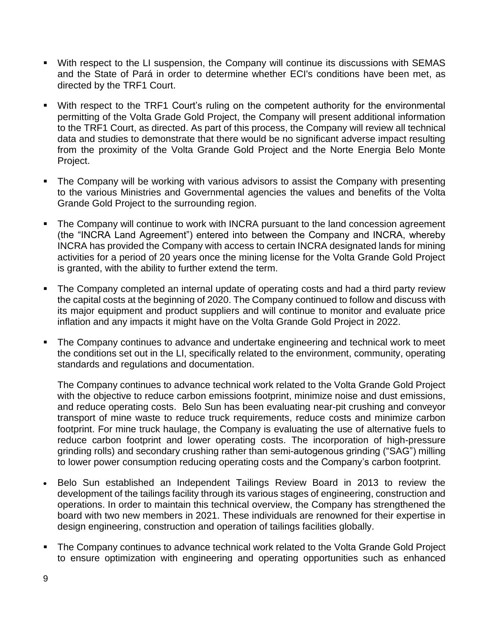- With respect to the LI suspension, the Company will continue its discussions with SEMAS and the State of Pará in order to determine whether ECI's conditions have been met, as directed by the TRF1 Court.
- With respect to the TRF1 Court's ruling on the competent authority for the environmental permitting of the Volta Grade Gold Project, the Company will present additional information to the TRF1 Court, as directed. As part of this process, the Company will review all technical data and studies to demonstrate that there would be no significant adverse impact resulting from the proximity of the Volta Grande Gold Project and the Norte Energia Belo Monte Project.
- **•** The Company will be working with various advisors to assist the Company with presenting to the various Ministries and Governmental agencies the values and benefits of the Volta Grande Gold Project to the surrounding region.
- The Company will continue to work with INCRA pursuant to the land concession agreement (the "INCRA Land Agreement") entered into between the Company and INCRA, whereby INCRA has provided the Company with access to certain INCRA designated lands for mining activities for a period of 20 years once the mining license for the Volta Grande Gold Project is granted, with the ability to further extend the term.
- The Company completed an internal update of operating costs and had a third party review the capital costs at the beginning of 2020. The Company continued to follow and discuss with its major equipment and product suppliers and will continue to monitor and evaluate price inflation and any impacts it might have on the Volta Grande Gold Project in 2022.
- The Company continues to advance and undertake engineering and technical work to meet the conditions set out in the LI, specifically related to the environment, community, operating standards and regulations and documentation.

The Company continues to advance technical work related to the Volta Grande Gold Project with the objective to reduce carbon emissions footprint, minimize noise and dust emissions, and reduce operating costs. Belo Sun has been evaluating near-pit crushing and conveyor transport of mine waste to reduce truck requirements, reduce costs and minimize carbon footprint. For mine truck haulage, the Company is evaluating the use of alternative fuels to reduce carbon footprint and lower operating costs. The incorporation of high-pressure grinding rolls) and secondary crushing rather than semi-autogenous grinding ("SAG") milling to lower power consumption reducing operating costs and the Company's carbon footprint.

- Belo Sun established an Independent Tailings Review Board in 2013 to review the development of the tailings facility through its various stages of engineering, construction and operations. In order to maintain this technical overview, the Company has strengthened the board with two new members in 2021. These individuals are renowned for their expertise in design engineering, construction and operation of tailings facilities globally.
- The Company continues to advance technical work related to the Volta Grande Gold Project to ensure optimization with engineering and operating opportunities such as enhanced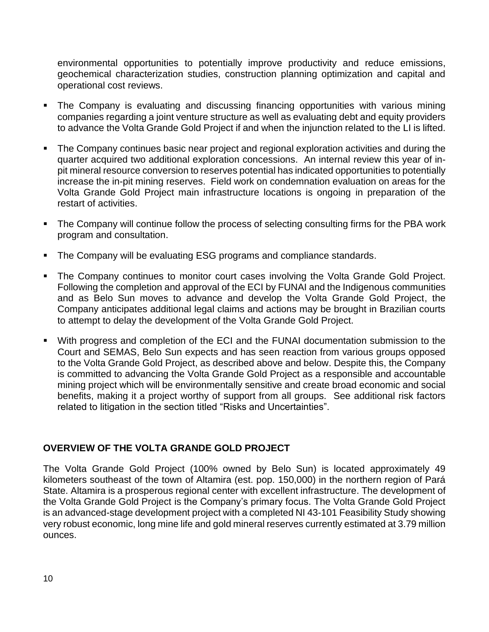environmental opportunities to potentially improve productivity and reduce emissions, geochemical characterization studies, construction planning optimization and capital and operational cost reviews.

- The Company is evaluating and discussing financing opportunities with various mining companies regarding a joint venture structure as well as evaluating debt and equity providers to advance the Volta Grande Gold Project if and when the injunction related to the LI is lifted.
- The Company continues basic near project and regional exploration activities and during the quarter acquired two additional exploration concessions. An internal review this year of inpit mineral resource conversion to reserves potential has indicated opportunities to potentially increase the in-pit mining reserves. Field work on condemnation evaluation on areas for the Volta Grande Gold Project main infrastructure locations is ongoing in preparation of the restart of activities.
- The Company will continue follow the process of selecting consulting firms for the PBA work program and consultation.
- The Company will be evaluating ESG programs and compliance standards.
- The Company continues to monitor court cases involving the Volta Grande Gold Project. Following the completion and approval of the ECI by FUNAI and the Indigenous communities and as Belo Sun moves to advance and develop the Volta Grande Gold Project, the Company anticipates additional legal claims and actions may be brought in Brazilian courts to attempt to delay the development of the Volta Grande Gold Project.
- With progress and completion of the ECI and the FUNAI documentation submission to the Court and SEMAS, Belo Sun expects and has seen reaction from various groups opposed to the Volta Grande Gold Project, as described above and below. Despite this, the Company is committed to advancing the Volta Grande Gold Project as a responsible and accountable mining project which will be environmentally sensitive and create broad economic and social benefits, making it a project worthy of support from all groups. See additional risk factors related to litigation in the section titled "Risks and Uncertainties".

### **OVERVIEW OF THE VOLTA GRANDE GOLD PROJECT**

The Volta Grande Gold Project (100% owned by Belo Sun) is located approximately 49 kilometers southeast of the town of Altamira (est. pop. 150,000) in the northern region of Pará State. Altamira is a prosperous regional center with excellent infrastructure. The development of the Volta Grande Gold Project is the Company's primary focus. The Volta Grande Gold Project is an advanced-stage development project with a completed NI 43-101 Feasibility Study showing very robust economic, long mine life and gold mineral reserves currently estimated at 3.79 million ounces.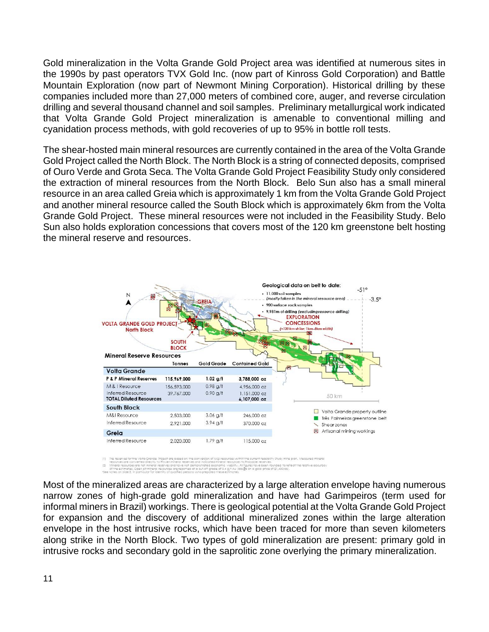Gold mineralization in the Volta Grande Gold Project area was identified at numerous sites in the 1990s by past operators TVX Gold Inc. (now part of Kinross Gold Corporation) and Battle Mountain Exploration (now part of Newmont Mining Corporation). Historical drilling by these companies included more than 27,000 meters of combined core, auger, and reverse circulation drilling and several thousand channel and soil samples. Preliminary metallurgical work indicated that Volta Grande Gold Project mineralization is amenable to conventional milling and cyanidation process methods, with gold recoveries of up to 95% in bottle roll tests.

The shear-hosted main mineral resources are currently contained in the area of the Volta Grande Gold Project called the North Block. The North Block is a string of connected deposits, comprised of Ouro Verde and Grota Seca. The Volta Grande Gold Project Feasibility Study only considered the extraction of mineral resources from the North Block. Belo Sun also has a small mineral resource in an area called Greia which is approximately 1 km from the Volta Grande Gold Project and another mineral resource called the South Block which is approximately 6km from the Volta Grande Gold Project. These mineral resources were not included in the Feasibility Study. Belo Sun also holds exploration concessions that covers most of the 120 km greenstone belt hosting the mineral reserve and resources.



en reasonity study mine plan, websured t<br>a reserves.<br>Ive been rounded to reflect the relative a<br>joid price of \$1,400/az).

Most of the mineralized areas are characterized by a large alteration envelope having numerous narrow zones of high-grade gold mineralization and have had Garimpeiros (term used for informal miners in Brazil) workings. There is geological potential at the Volta Grande Gold Project for expansion and the discovery of additional mineralized zones within the large alteration envelope in the host intrusive rocks, which have been traced for more than seven kilometers along strike in the North Block. Two types of gold mineralization are present: primary gold in intrusive rocks and secondary gold in the saprolitic zone overlying the primary mineralization.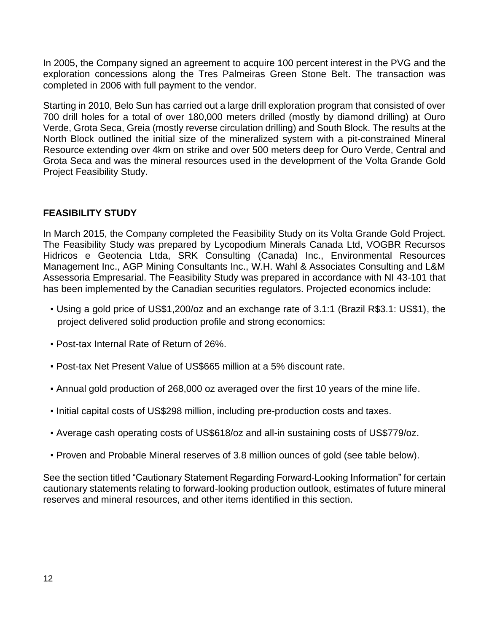In 2005, the Company signed an agreement to acquire 100 percent interest in the PVG and the exploration concessions along the Tres Palmeiras Green Stone Belt. The transaction was completed in 2006 with full payment to the vendor.

Starting in 2010, Belo Sun has carried out a large drill exploration program that consisted of over 700 drill holes for a total of over 180,000 meters drilled (mostly by diamond drilling) at Ouro Verde, Grota Seca, Greia (mostly reverse circulation drilling) and South Block. The results at the North Block outlined the initial size of the mineralized system with a pit-constrained Mineral Resource extending over 4km on strike and over 500 meters deep for Ouro Verde, Central and Grota Seca and was the mineral resources used in the development of the Volta Grande Gold Project Feasibility Study.

### **FEASIBILITY STUDY**

In March 2015, the Company completed the Feasibility Study on its Volta Grande Gold Project. The Feasibility Study was prepared by Lycopodium Minerals Canada Ltd, VOGBR Recursos Hidricos e Geotencia Ltda, SRK Consulting (Canada) Inc., Environmental Resources Management Inc., AGP Mining Consultants Inc., W.H. Wahl & Associates Consulting and L&M Assessoria Empresarial. The Feasibility Study was prepared in accordance with NI 43-101 that has been implemented by the Canadian securities regulators. Projected economics include:

- Using a gold price of US\$1,200/oz and an exchange rate of 3.1:1 (Brazil R\$3.1: US\$1), the project delivered solid production profile and strong economics:
- Post-tax Internal Rate of Return of 26%.
- Post-tax Net Present Value of US\$665 million at a 5% discount rate.
- Annual gold production of 268,000 oz averaged over the first 10 years of the mine life.
- Initial capital costs of US\$298 million, including pre-production costs and taxes.
- Average cash operating costs of US\$618/oz and all-in sustaining costs of US\$779/oz.
- Proven and Probable Mineral reserves of 3.8 million ounces of gold (see table below).

See the section titled "Cautionary Statement Regarding Forward-Looking Information" for certain cautionary statements relating to forward-looking production outlook, estimates of future mineral reserves and mineral resources, and other items identified in this section.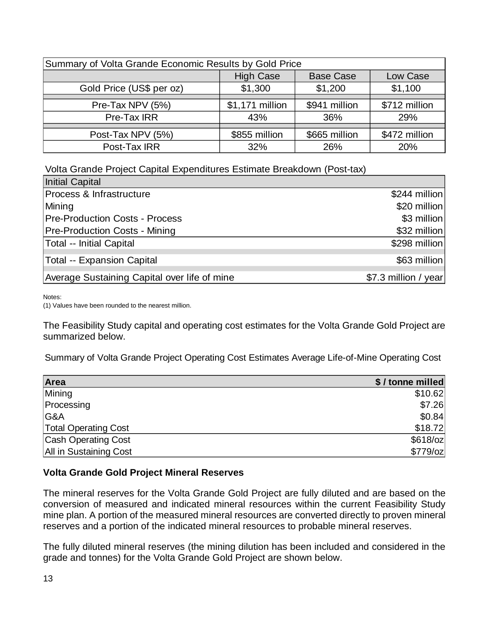| Summary of Volta Grande Economic Results by Gold Price |                 |               |               |  |  |  |
|--------------------------------------------------------|-----------------|---------------|---------------|--|--|--|
| <b>High Case</b><br><b>Base Case</b><br>Low Case       |                 |               |               |  |  |  |
| Gold Price (US\$ per oz)                               | \$1,300         | \$1,200       | \$1,100       |  |  |  |
|                                                        |                 |               |               |  |  |  |
| Pre-Tax NPV (5%)                                       | \$1,171 million | \$941 million | \$712 million |  |  |  |
| Pre-Tax IRR                                            | 43%             | 36%           | 29%           |  |  |  |
|                                                        |                 |               |               |  |  |  |
| Post-Tax NPV (5%)                                      | \$855 million   | \$665 million | \$472 million |  |  |  |
| Post-Tax IRR                                           | 32%             | 26%           | 20%           |  |  |  |

Volta Grande Project Capital Expenditures Estimate Breakdown (Post-tax)

| Initial Capital                              |                      |
|----------------------------------------------|----------------------|
| Process & Infrastructure                     | \$244 million        |
| Mining                                       | \$20 million         |
| <b>Pre-Production Costs - Process</b>        | \$3 million          |
| <b>Pre-Production Costs - Mining</b>         | \$32 million         |
| Total -- Initial Capital                     | \$298 million        |
| Total -- Expansion Capital                   | \$63 million         |
| Average Sustaining Capital over life of mine | \$7.3 million / year |

Notes:

(1) Values have been rounded to the nearest million.

The Feasibility Study capital and operating cost estimates for the Volta Grande Gold Project are summarized below.

Summary of Volta Grande Project Operating Cost Estimates Average Life-of-Mine Operating Cost

| Area                        | \$/tonne milled |
|-----------------------------|-----------------|
| Mining                      | \$10.62         |
| Processing                  | \$7.26          |
| G&A                         | \$0.84          |
| <b>Total Operating Cost</b> | \$18.72         |
| <b>Cash Operating Cost</b>  | $$618$ /oz      |
| All in Sustaining Cost      | $$779$ /oz      |

#### **Volta Grande Gold Project Mineral Reserves**

The mineral reserves for the Volta Grande Gold Project are fully diluted and are based on the conversion of measured and indicated mineral resources within the current Feasibility Study mine plan. A portion of the measured mineral resources are converted directly to proven mineral reserves and a portion of the indicated mineral resources to probable mineral reserves.

The fully diluted mineral reserves (the mining dilution has been included and considered in the grade and tonnes) for the Volta Grande Gold Project are shown below.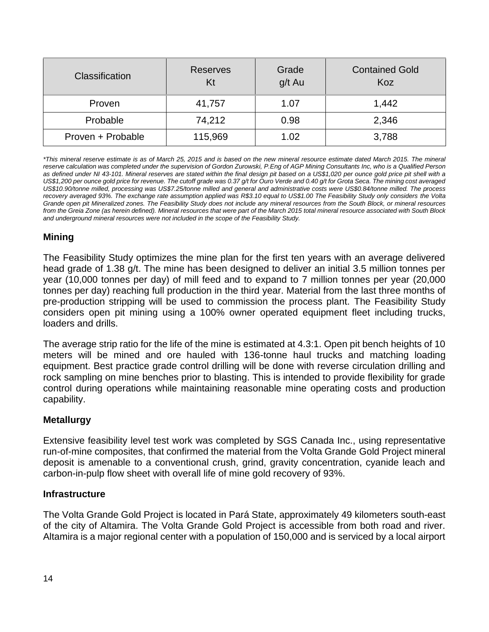| Classification    | <b>Reserves</b><br>Kt | Grade<br>g/t Au | <b>Contained Gold</b><br>Koz |
|-------------------|-----------------------|-----------------|------------------------------|
| Proven            | 41,757                | 1.07            | 1,442                        |
| Probable          | 74,212                | 0.98            | 2,346                        |
| Proven + Probable | 115,969               | 1.02            | 3,788                        |

*\*This mineral reserve estimate is as of March 25, 2015 and is based on the new mineral resource estimate dated March 2015. The mineral reserve calculation was completed under the supervision of Gordon Zurowski, P.Eng of AGP Mining Consultants Inc, who is a Qualified Person as defined under NI 43-101. Mineral reserves are stated within the final design pit based on a US\$1,020 per ounce gold price pit shell with a US\$1,200 per ounce gold price for revenue. The cutoff grade was 0.37 g/t for Ouro Verde and 0.40 g/t for Grota Seca. The mining cost averaged US\$10.90/tonne milled, processing was US\$7.25/tonne milled and general and administrative costs were US\$0.84/tonne milled. The process recovery averaged 93%. The exchange rate assumption applied was R\$3.10 equal to US\$1.00 The Feasibility Study only considers the Volta Grande open pit Mineralized zones. The Feasibility Study does not include any mineral resources from the South Block, or mineral resources from the Greia Zone (as herein defined). Mineral resources that were part of the March 2015 total mineral resource associated with South Block and underground mineral resources were not included in the scope of the Feasibility Study.* 

### **Mining**

The Feasibility Study optimizes the mine plan for the first ten years with an average delivered head grade of 1.38 g/t. The mine has been designed to deliver an initial 3.5 million tonnes per year (10,000 tonnes per day) of mill feed and to expand to 7 million tonnes per year (20,000 tonnes per day) reaching full production in the third year. Material from the last three months of pre-production stripping will be used to commission the process plant. The Feasibility Study considers open pit mining using a 100% owner operated equipment fleet including trucks, loaders and drills.

The average strip ratio for the life of the mine is estimated at 4.3:1. Open pit bench heights of 10 meters will be mined and ore hauled with 136-tonne haul trucks and matching loading equipment. Best practice grade control drilling will be done with reverse circulation drilling and rock sampling on mine benches prior to blasting. This is intended to provide flexibility for grade control during operations while maintaining reasonable mine operating costs and production capability.

### **Metallurgy**

Extensive feasibility level test work was completed by SGS Canada Inc., using representative run-of-mine composites, that confirmed the material from the Volta Grande Gold Project mineral deposit is amenable to a conventional crush, grind, gravity concentration, cyanide leach and carbon-in-pulp flow sheet with overall life of mine gold recovery of 93%.

#### **Infrastructure**

The Volta Grande Gold Project is located in Pará State, approximately 49 kilometers south-east of the city of Altamira. The Volta Grande Gold Project is accessible from both road and river. Altamira is a major regional center with a population of 150,000 and is serviced by a local airport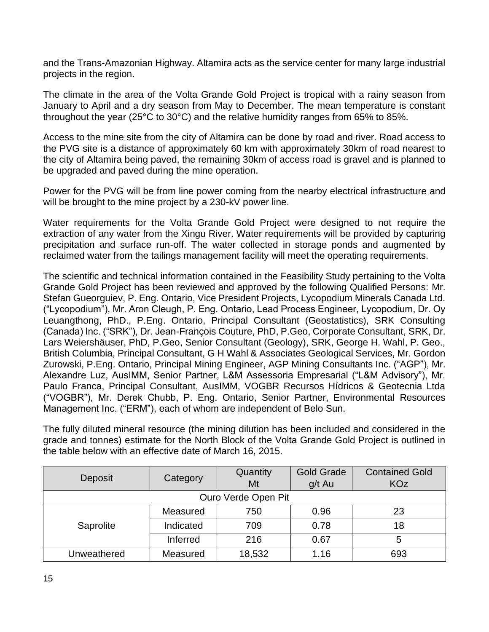and the Trans-Amazonian Highway. Altamira acts as the service center for many large industrial projects in the region.

The climate in the area of the Volta Grande Gold Project is tropical with a rainy season from January to April and a dry season from May to December. The mean temperature is constant throughout the year (25°C to 30°C) and the relative humidity ranges from 65% to 85%.

Access to the mine site from the city of Altamira can be done by road and river. Road access to the PVG site is a distance of approximately 60 km with approximately 30km of road nearest to the city of Altamira being paved, the remaining 30km of access road is gravel and is planned to be upgraded and paved during the mine operation.

Power for the PVG will be from line power coming from the nearby electrical infrastructure and will be brought to the mine project by a 230-kV power line.

Water requirements for the Volta Grande Gold Project were designed to not require the extraction of any water from the Xingu River. Water requirements will be provided by capturing precipitation and surface run-off. The water collected in storage ponds and augmented by reclaimed water from the tailings management facility will meet the operating requirements.

The scientific and technical information contained in the Feasibility Study pertaining to the Volta Grande Gold Project has been reviewed and approved by the following Qualified Persons: Mr. Stefan Gueorguiev, P. Eng. Ontario, Vice President Projects, Lycopodium Minerals Canada Ltd. ("Lycopodium"), Mr. Aron Cleugh, P. Eng. Ontario, Lead Process Engineer, Lycopodium, Dr. Oy Leuangthong, PhD., P.Eng. Ontario, Principal Consultant (Geostatistics), SRK Consulting (Canada) Inc. ("SRK"), Dr. Jean-François Couture, PhD, P.Geo, Corporate Consultant, SRK, Dr. Lars Weiershäuser, PhD, P.Geo, Senior Consultant (Geology), SRK, George H. Wahl, P. Geo., British Columbia, Principal Consultant, G H Wahl & Associates Geological Services, Mr. Gordon Zurowski, P.Eng. Ontario, Principal Mining Engineer, AGP Mining Consultants Inc. ("AGP"), Mr. Alexandre Luz, AusIMM, Senior Partner, L&M Assessoria Empresarial ("L&M Advisory"), Mr. Paulo Franca, Principal Consultant, AusIMM, VOGBR Recursos Hídricos & Geotecnia Ltda ("VOGBR"), Mr. Derek Chubb, P. Eng. Ontario, Senior Partner, Environmental Resources Management Inc. ("ERM"), each of whom are independent of Belo Sun.

The fully diluted mineral resource (the mining dilution has been included and considered in the grade and tonnes) estimate for the North Block of the Volta Grande Gold Project is outlined in the table below with an effective date of March 16, 2015.

| Deposit     | Category  | Quantity | <b>Gold Grade</b> | <b>Contained Gold</b> |
|-------------|-----------|----------|-------------------|-----------------------|
|             |           | Mt       | g/t Au            | <b>KOz</b>            |
|             |           |          |                   |                       |
|             | Measured  | 750      | 0.96              | 23                    |
| Saprolite   | Indicated |          | 0.78              | 18                    |
|             | Inferred  |          | 0.67              | 5                     |
| Unweathered | Measured  | 18,532   | 1.16              | 693                   |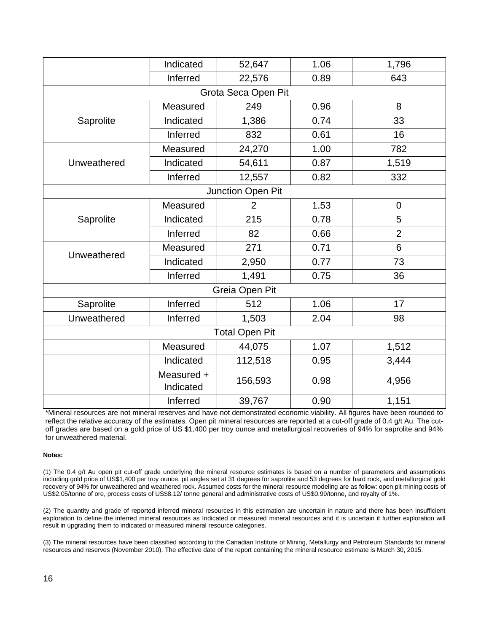|             | Indicated               | 52,647                | 1.06 | 1,796            |      |    |
|-------------|-------------------------|-----------------------|------|------------------|------|----|
|             | Inferred                | 22,576                | 0.89 | 643              |      |    |
|             |                         | Grota Seca Open Pit   |      |                  |      |    |
|             | Measured                | 249                   | 0.96 | 8                |      |    |
| Saprolite   | Indicated               | 1,386                 | 0.74 | 33               |      |    |
|             | Inferred                | 832                   | 0.61 | 16               |      |    |
|             | Measured                | 24,270                | 1.00 | 782              |      |    |
| Unweathered | Indicated               | 54,611                | 0.87 | 1,519            |      |    |
|             | Inferred                | 12,557                | 0.82 | 332              |      |    |
|             |                         | Junction Open Pit     |      |                  |      |    |
|             | Measured                | $\overline{2}$        | 1.53 | $\boldsymbol{0}$ |      |    |
| Saprolite   | Indicated               | 215                   | 0.78 | 5                |      |    |
|             | Inferred                | 82                    | 0.66 | $\overline{2}$   |      |    |
|             | Measured                | 271                   | 0.71 | $6\phantom{1}$   |      |    |
| Unweathered | Indicated               | 2,950                 | 0.77 | 73               |      |    |
|             | Inferred                | 1,491                 |      |                  | 0.75 | 36 |
|             |                         | Greia Open Pit        |      |                  |      |    |
| Saprolite   | Inferred                | 512                   | 1.06 | 17               |      |    |
| Unweathered | Inferred                | 1,503                 | 2.04 | 98               |      |    |
|             |                         | <b>Total Open Pit</b> |      |                  |      |    |
|             | Measured                | 44,075                | 1.07 | 1,512            |      |    |
|             | Indicated               | 112,518               | 0.95 | 3,444            |      |    |
|             | Measured +<br>Indicated | 156,593               | 0.98 | 4,956            |      |    |
|             | Inferred                | 39,767                | 0.90 | 1,151            |      |    |

\*Mineral resources are not mineral reserves and have not demonstrated economic viability. All figures have been rounded to reflect the relative accuracy of the estimates. Open pit mineral resources are reported at a cut-off grade of 0.4 g/t Au. The cutoff grades are based on a gold price of US \$1,400 per troy ounce and metallurgical recoveries of 94% for saprolite and 94% for unweathered material.

#### **Notes:**

(1) The 0.4 g/t Au open pit cut-off grade underlying the mineral resource estimates is based on a number of parameters and assumptions including gold price of US\$1,400 per troy ounce, pit angles set at 31 degrees for saprolite and 53 degrees for hard rock, and metallurgical gold recovery of 94% for unweathered and weathered rock. Assumed costs for the mineral resource modeling are as follow: open pit mining costs of US\$2.05/tonne of ore, process costs of US\$8.12/ tonne general and administrative costs of US\$0.99/tonne, and royalty of 1%.

(2) The quantity and grade of reported inferred mineral resources in this estimation are uncertain in nature and there has been insufficient exploration to define the inferred mineral resources as Indicated or measured mineral resources and it is uncertain if further exploration will result in upgrading them to indicated or measured mineral resource categories.

(3) The mineral resources have been classified according to the Canadian Institute of Mining, Metallurgy and Petroleum Standards for mineral resources and reserves (November 2010). The effective date of the report containing the mineral resource estimate is March 30, 2015.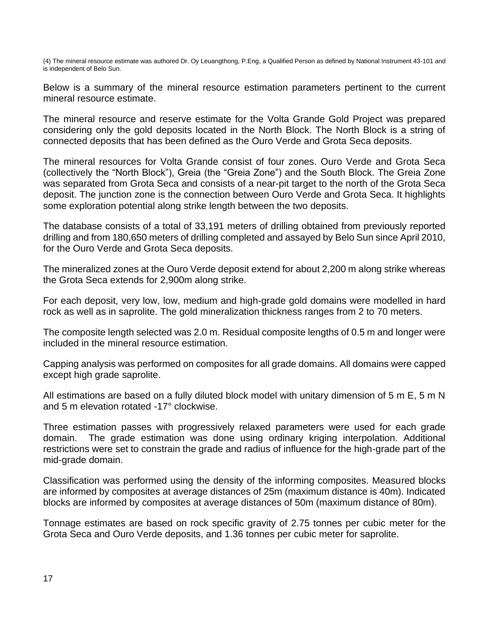(4) The mineral resource estimate was authored Dr. Oy Leuangthong, P.Eng, a Qualified Person as defined by National Instrument 43-101 and is independent of Belo Sun.

Below is a summary of the mineral resource estimation parameters pertinent to the current mineral resource estimate.

The mineral resource and reserve estimate for the Volta Grande Gold Project was prepared considering only the gold deposits located in the North Block. The North Block is a string of connected deposits that has been defined as the Ouro Verde and Grota Seca deposits.

The mineral resources for Volta Grande consist of four zones. Ouro Verde and Grota Seca (collectively the "North Block"), Greia (the "Greia Zone") and the South Block. The Greia Zone was separated from Grota Seca and consists of a near-pit target to the north of the Grota Seca deposit. The junction zone is the connection between Ouro Verde and Grota Seca. It highlights some exploration potential along strike length between the two deposits.

The database consists of a total of 33,191 meters of drilling obtained from previously reported drilling and from 180,650 meters of drilling completed and assayed by Belo Sun since April 2010, for the Ouro Verde and Grota Seca deposits.

The mineralized zones at the Ouro Verde deposit extend for about 2,200 m along strike whereas the Grota Seca extends for 2,900m along strike.

For each deposit, very low, low, medium and high-grade gold domains were modelled in hard rock as well as in saprolite. The gold mineralization thickness ranges from 2 to 70 meters.

The composite length selected was 2.0 m. Residual composite lengths of 0.5 m and longer were included in the mineral resource estimation.

Capping analysis was performed on composites for all grade domains. All domains were capped except high grade saprolite.

All estimations are based on a fully diluted block model with unitary dimension of 5 m E, 5 m N and 5 m elevation rotated -17° clockwise.

Three estimation passes with progressively relaxed parameters were used for each grade domain. The grade estimation was done using ordinary kriging interpolation. Additional restrictions were set to constrain the grade and radius of influence for the high-grade part of the mid-grade domain.

Classification was performed using the density of the informing composites. Measured blocks are informed by composites at average distances of 25m (maximum distance is 40m). Indicated blocks are informed by composites at average distances of 50m (maximum distance of 80m).

Tonnage estimates are based on rock specific gravity of 2.75 tonnes per cubic meter for the Grota Seca and Ouro Verde deposits, and 1.36 tonnes per cubic meter for saprolite.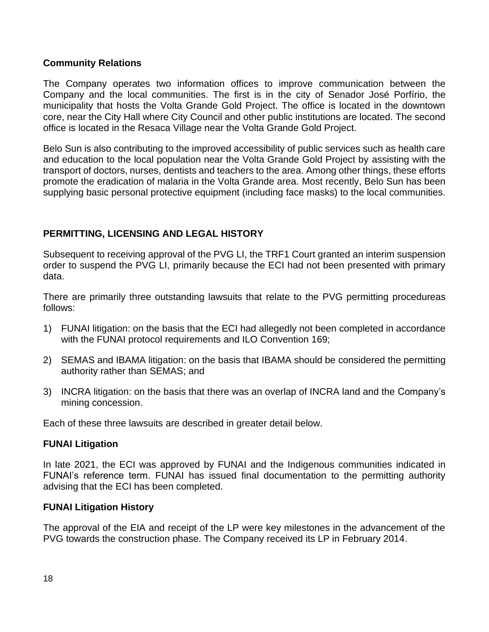#### **Community Relations**

The Company operates two information offices to improve communication between the Company and the local communities. The first is in the city of Senador José Porfírio, the municipality that hosts the Volta Grande Gold Project. The office is located in the downtown core, near the City Hall where City Council and other public institutions are located. The second office is located in the Resaca Village near the Volta Grande Gold Project.

Belo Sun is also contributing to the improved accessibility of public services such as health care and education to the local population near the Volta Grande Gold Project by assisting with the transport of doctors, nurses, dentists and teachers to the area. Among other things, these efforts promote the eradication of malaria in the Volta Grande area. Most recently, Belo Sun has been supplying basic personal protective equipment (including face masks) to the local communities.

### **PERMITTING, LICENSING AND LEGAL HISTORY**

Subsequent to receiving approval of the PVG LI, the TRF1 Court granted an interim suspension order to suspend the PVG LI, primarily because the ECI had not been presented with primary data.

There are primarily three outstanding lawsuits that relate to the PVG permitting procedureas follows:

- 1) FUNAI litigation: on the basis that the ECI had allegedly not been completed in accordance with the FUNAI protocol requirements and ILO Convention 169;
- 2) SEMAS and IBAMA litigation: on the basis that IBAMA should be considered the permitting authority rather than SEMAS; and
- 3) INCRA litigation: on the basis that there was an overlap of INCRA land and the Company's mining concession.

Each of these three lawsuits are described in greater detail below.

#### **FUNAI Litigation**

In late 2021, the ECI was approved by FUNAI and the Indigenous communities indicated in FUNAI's reference term. FUNAI has issued final documentation to the permitting authority advising that the ECI has been completed.

#### **FUNAI Litigation History**

The approval of the EIA and receipt of the LP were key milestones in the advancement of the PVG towards the construction phase. The Company received its LP in February 2014.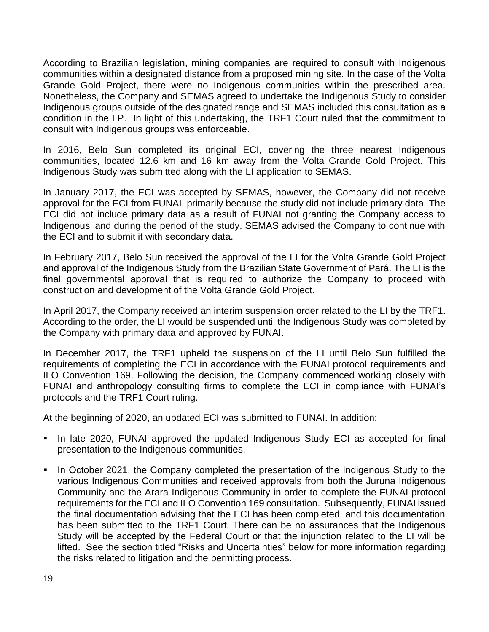According to Brazilian legislation, mining companies are required to consult with Indigenous communities within a designated distance from a proposed mining site. In the case of the Volta Grande Gold Project, there were no Indigenous communities within the prescribed area. Nonetheless, the Company and SEMAS agreed to undertake the Indigenous Study to consider Indigenous groups outside of the designated range and SEMAS included this consultation as a condition in the LP. In light of this undertaking, the TRF1 Court ruled that the commitment to consult with Indigenous groups was enforceable.

In 2016, Belo Sun completed its original ECI, covering the three nearest Indigenous communities, located 12.6 km and 16 km away from the Volta Grande Gold Project. This Indigenous Study was submitted along with the LI application to SEMAS.

In January 2017, the ECI was accepted by SEMAS, however, the Company did not receive approval for the ECI from FUNAI, primarily because the study did not include primary data. The ECI did not include primary data as a result of FUNAI not granting the Company access to Indigenous land during the period of the study. SEMAS advised the Company to continue with the ECI and to submit it with secondary data.

In February 2017, Belo Sun received the approval of the LI for the Volta Grande Gold Project and approval of the Indigenous Study from the Brazilian State Government of Pará. The LI is the final governmental approval that is required to authorize the Company to proceed with construction and development of the Volta Grande Gold Project.

In April 2017, the Company received an interim suspension order related to the LI by the TRF1. According to the order, the LI would be suspended until the Indigenous Study was completed by the Company with primary data and approved by FUNAI.

In December 2017, the TRF1 upheld the suspension of the LI until Belo Sun fulfilled the requirements of completing the ECI in accordance with the FUNAI protocol requirements and ILO Convention 169. Following the decision, the Company commenced working closely with FUNAI and anthropology consulting firms to complete the ECI in compliance with FUNAI's protocols and the TRF1 Court ruling.

At the beginning of 2020, an updated ECI was submitted to FUNAI. In addition:

- In late 2020, FUNAI approved the updated Indigenous Study ECI as accepted for final presentation to the Indigenous communities.
- In October 2021, the Company completed the presentation of the Indigenous Study to the various Indigenous Communities and received approvals from both the Juruna Indigenous Community and the Arara Indigenous Community in order to complete the FUNAI protocol requirements for the ECI and ILO Convention 169 consultation. Subsequently, FUNAI issued the final documentation advising that the ECI has been completed, and this documentation has been submitted to the TRF1 Court. There can be no assurances that the Indigenous Study will be accepted by the Federal Court or that the injunction related to the LI will be lifted. See the section titled "Risks and Uncertainties" below for more information regarding the risks related to litigation and the permitting process.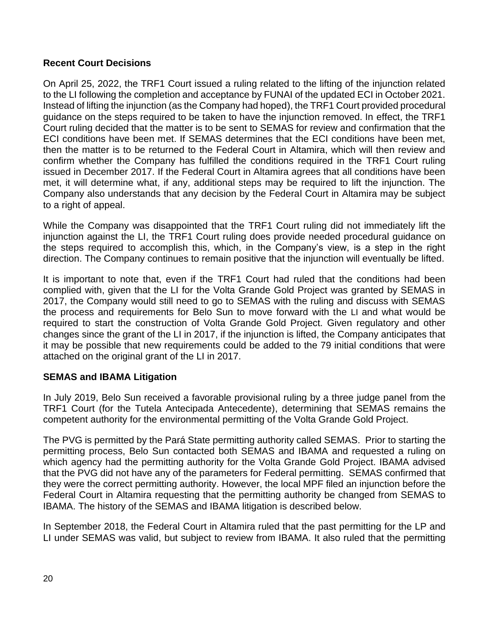### **Recent Court Decisions**

On April 25, 2022, the TRF1 Court issued a ruling related to the lifting of the injunction related to the LI following the completion and acceptance by FUNAI of the updated ECI in October 2021. Instead of lifting the injunction (as the Company had hoped), the TRF1 Court provided procedural guidance on the steps required to be taken to have the injunction removed. In effect, the TRF1 Court ruling decided that the matter is to be sent to SEMAS for review and confirmation that the ECI conditions have been met. If SEMAS determines that the ECI conditions have been met, then the matter is to be returned to the Federal Court in Altamira, which will then review and confirm whether the Company has fulfilled the conditions required in the TRF1 Court ruling issued in December 2017. If the Federal Court in Altamira agrees that all conditions have been met, it will determine what, if any, additional steps may be required to lift the injunction. The Company also understands that any decision by the Federal Court in Altamira may be subject to a right of appeal.

While the Company was disappointed that the TRF1 Court ruling did not immediately lift the injunction against the LI, the TRF1 Court ruling does provide needed procedural guidance on the steps required to accomplish this, which, in the Company's view, is a step in the right direction. The Company continues to remain positive that the injunction will eventually be lifted.

It is important to note that, even if the TRF1 Court had ruled that the conditions had been complied with, given that the LI for the Volta Grande Gold Project was granted by SEMAS in 2017, the Company would still need to go to SEMAS with the ruling and discuss with SEMAS the process and requirements for Belo Sun to move forward with the LI and what would be required to start the construction of Volta Grande Gold Project. Given regulatory and other changes since the grant of the LI in 2017, if the injunction is lifted, the Company anticipates that it may be possible that new requirements could be added to the 79 initial conditions that were attached on the original grant of the LI in 2017.

### **SEMAS and IBAMA Litigation**

In July 2019, Belo Sun received a favorable provisional ruling by a three judge panel from the TRF1 Court (for the Tutela Antecipada Antecedente), determining that SEMAS remains the competent authority for the environmental permitting of the Volta Grande Gold Project.

The PVG is permitted by the Pará State permitting authority called SEMAS. Prior to starting the permitting process, Belo Sun contacted both SEMAS and IBAMA and requested a ruling on which agency had the permitting authority for the Volta Grande Gold Project. IBAMA advised that the PVG did not have any of the parameters for Federal permitting. SEMAS confirmed that they were the correct permitting authority. However, the local MPF filed an injunction before the Federal Court in Altamira requesting that the permitting authority be changed from SEMAS to IBAMA. The history of the SEMAS and IBAMA litigation is described below.

In September 2018, the Federal Court in Altamira ruled that the past permitting for the LP and LI under SEMAS was valid, but subject to review from IBAMA. It also ruled that the permitting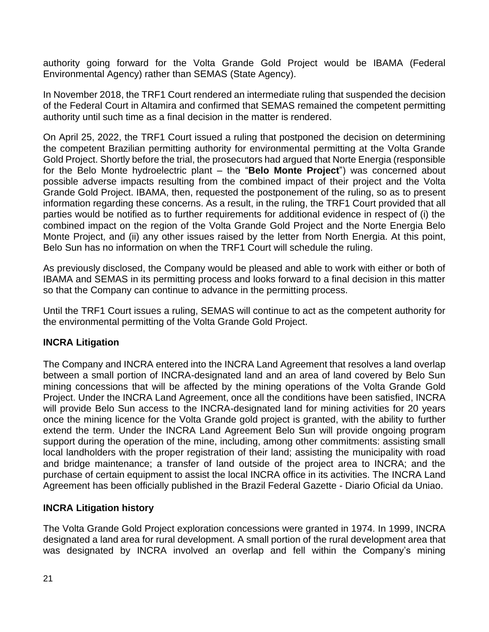authority going forward for the Volta Grande Gold Project would be IBAMA (Federal Environmental Agency) rather than SEMAS (State Agency).

In November 2018, the TRF1 Court rendered an intermediate ruling that suspended the decision of the Federal Court in Altamira and confirmed that SEMAS remained the competent permitting authority until such time as a final decision in the matter is rendered.

On April 25, 2022, the TRF1 Court issued a ruling that postponed the decision on determining the competent Brazilian permitting authority for environmental permitting at the Volta Grande Gold Project. Shortly before the trial, the prosecutors had argued that Norte Energia (responsible for the Belo Monte hydroelectric plant – the "**Belo Monte Project**") was concerned about possible adverse impacts resulting from the combined impact of their project and the Volta Grande Gold Project. IBAMA, then, requested the postponement of the ruling, so as to present information regarding these concerns. As a result, in the ruling, the TRF1 Court provided that all parties would be notified as to further requirements for additional evidence in respect of (i) the combined impact on the region of the Volta Grande Gold Project and the Norte Energia Belo Monte Project, and (ii) any other issues raised by the letter from North Energia. At this point, Belo Sun has no information on when the TRF1 Court will schedule the ruling.

As previously disclosed, the Company would be pleased and able to work with either or both of IBAMA and SEMAS in its permitting process and looks forward to a final decision in this matter so that the Company can continue to advance in the permitting process.

Until the TRF1 Court issues a ruling, SEMAS will continue to act as the competent authority for the environmental permitting of the Volta Grande Gold Project.

### **INCRA Litigation**

The Company and INCRA entered into the INCRA Land Agreement that resolves a land overlap between a small portion of INCRA-designated land and an area of land covered by Belo Sun mining concessions that will be affected by the mining operations of the Volta Grande Gold Project. Under the INCRA Land Agreement, once all the conditions have been satisfied, INCRA will provide Belo Sun access to the INCRA-designated land for mining activities for 20 years once the mining licence for the Volta Grande gold project is granted, with the ability to further extend the term. Under the INCRA Land Agreement Belo Sun will provide ongoing program support during the operation of the mine, including, among other commitments: assisting small local landholders with the proper registration of their land; assisting the municipality with road and bridge maintenance; a transfer of land outside of the project area to INCRA; and the purchase of certain equipment to assist the local INCRA office in its activities. The INCRA Land Agreement has been officially published in the Brazil Federal Gazette - Diario Oficial da Uniao.

#### **INCRA Litigation history**

The Volta Grande Gold Project exploration concessions were granted in 1974. In 1999, INCRA designated a land area for rural development. A small portion of the rural development area that was designated by INCRA involved an overlap and fell within the Company's mining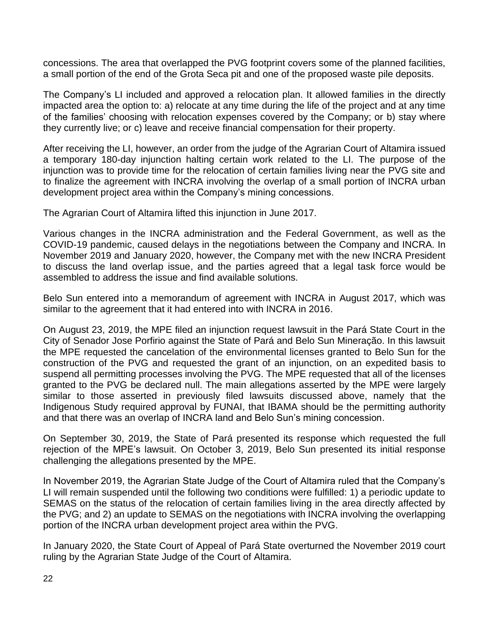concessions. The area that overlapped the PVG footprint covers some of the planned facilities, a small portion of the end of the Grota Seca pit and one of the proposed waste pile deposits.

The Company's LI included and approved a relocation plan. It allowed families in the directly impacted area the option to: a) relocate at any time during the life of the project and at any time of the families' choosing with relocation expenses covered by the Company; or b) stay where they currently live; or c) leave and receive financial compensation for their property.

After receiving the LI, however, an order from the judge of the Agrarian Court of Altamira issued a temporary 180-day injunction halting certain work related to the LI. The purpose of the injunction was to provide time for the relocation of certain families living near the PVG site and to finalize the agreement with INCRA involving the overlap of a small portion of INCRA urban development project area within the Company's mining concessions.

The Agrarian Court of Altamira lifted this injunction in June 2017.

Various changes in the INCRA administration and the Federal Government, as well as the COVID-19 pandemic, caused delays in the negotiations between the Company and INCRA. In November 2019 and January 2020, however, the Company met with the new INCRA President to discuss the land overlap issue, and the parties agreed that a legal task force would be assembled to address the issue and find available solutions.

Belo Sun entered into a memorandum of agreement with INCRA in August 2017, which was similar to the agreement that it had entered into with INCRA in 2016.

On August 23, 2019, the MPE filed an injunction request lawsuit in the Pará State Court in the City of Senador Jose Porfirio against the State of Pará and Belo Sun Mineração. In this lawsuit the MPE requested the cancelation of the environmental licenses granted to Belo Sun for the construction of the PVG and requested the grant of an injunction, on an expedited basis to suspend all permitting processes involving the PVG. The MPE requested that all of the licenses granted to the PVG be declared null. The main allegations asserted by the MPE were largely similar to those asserted in previously filed lawsuits discussed above, namely that the Indigenous Study required approval by FUNAI, that IBAMA should be the permitting authority and that there was an overlap of INCRA land and Belo Sun's mining concession.

On September 30, 2019, the State of Pará presented its response which requested the full rejection of the MPE's lawsuit. On October 3, 2019, Belo Sun presented its initial response challenging the allegations presented by the MPE.

In November 2019, the Agrarian State Judge of the Court of Altamira ruled that the Company's LI will remain suspended until the following two conditions were fulfilled: 1) a periodic update to SEMAS on the status of the relocation of certain families living in the area directly affected by the PVG; and 2) an update to SEMAS on the negotiations with INCRA involving the overlapping portion of the INCRA urban development project area within the PVG.

In January 2020, the State Court of Appeal of Pará State overturned the November 2019 court ruling by the Agrarian State Judge of the Court of Altamira.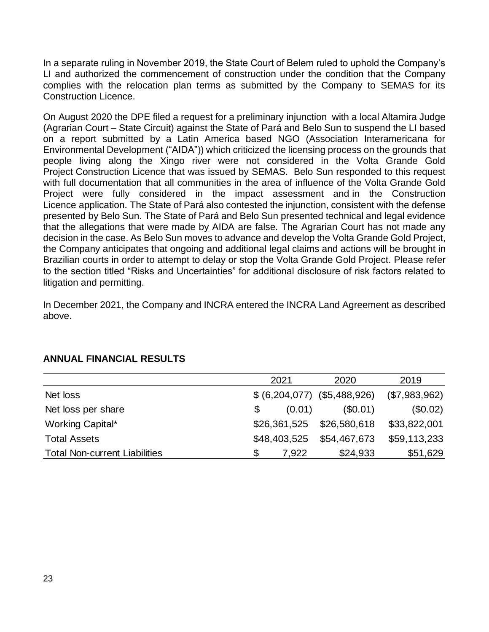In a separate ruling in November 2019, the State Court of Belem ruled to uphold the Company's LI and authorized the commencement of construction under the condition that the Company complies with the relocation plan terms as submitted by the Company to SEMAS for its Construction Licence.

On August 2020 the DPE filed a request for a preliminary injunction with a local Altamira Judge (Agrarian Court – State Circuit) against the State of Pará and Belo Sun to suspend the LI based on a report submitted by a Latin America based NGO (Association Interamericana for Environmental Development ("AIDA")) which criticized the licensing process on the grounds that people living along the Xingo river were not considered in the Volta Grande Gold Project Construction Licence that was issued by SEMAS. Belo Sun responded to this request with full documentation that all communities in the area of influence of the Volta Grande Gold Project were fully considered in the impact assessment and in the Construction Licence application. The State of Pará also contested the injunction, consistent with the defense presented by Belo Sun. The State of Pará and Belo Sun presented technical and legal evidence that the allegations that were made by AIDA are false. The Agrarian Court has not made any decision in the case. As Belo Sun moves to advance and develop the Volta Grande Gold Project, the Company anticipates that ongoing and additional legal claims and actions will be brought in Brazilian courts in order to attempt to delay or stop the Volta Grande Gold Project. Please refer to the section titled "Risks and Uncertainties" for additional disclosure of risk factors related to litigation and permitting.

In December 2021, the Company and INCRA entered the INCRA Land Agreement as described above.

|                                      | 2021                          | 2020         | 2019          |
|--------------------------------------|-------------------------------|--------------|---------------|
| Net loss                             | $$ (6,204,077)$ $$5,488,926)$ |              | (\$7,983,962) |
| Net loss per share                   | (0.01)<br>\$                  | (S0.01)      | (\$0.02)      |
| Working Capital*                     | \$26,361,525                  | \$26,580,618 | \$33,822,001  |
| <b>Total Assets</b>                  | \$48,403,525                  | \$54,467,673 | \$59,113,233  |
| <b>Total Non-current Liabilities</b> | 7.922<br>\$                   | \$24,933     | \$51,629      |

## **ANNUAL FINANCIAL RESULTS**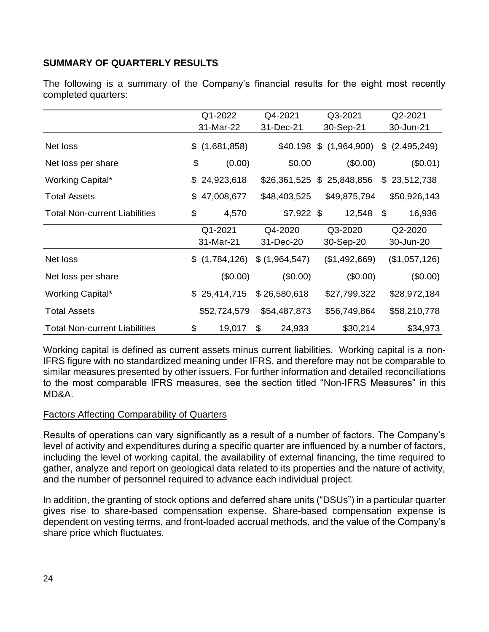### **SUMMARY OF QUARTERLY RESULTS**

The following is a summary of the Company's financial results for the eight most recently completed quarters:

|                                      | Q1-2022 |               | Q4-2021                     | Q3-2021 |                          | Q2-2021           |
|--------------------------------------|---------|---------------|-----------------------------|---------|--------------------------|-------------------|
|                                      |         | 31-Mar-22     | 31-Dec-21                   |         | 30-Sep-21                | 30-Jun-21         |
| Net loss                             |         | \$(1,681,858) |                             |         | $$40,198 \$ (1,964,900)$ | \$<br>(2,495,249) |
| Net loss per share                   | \$      | (0.00)        | \$0.00                      |         | (\$0.00)                 | $(\$0.01)$        |
| Working Capital*                     |         | \$24,923,618  | $$26,361,525$ $$25,848,856$ |         |                          | \$23,512,738      |
| <b>Total Assets</b>                  |         | \$47,008,677  | \$48,403,525                |         | \$49,875,794             | \$50,926,143      |
| <b>Total Non-current Liabilities</b> | \$      | 4,570         | $$7,922$ \$                 |         | 12,548                   | \$<br>16,936      |
|                                      |         | Q1-2021       | Q4-2020                     |         | Q3-2020                  | Q2-2020           |
|                                      |         | 31-Mar-21     | 31-Dec-20                   |         | 30-Sep-20                | 30-Jun-20         |
| Net loss                             |         | \$(1,784,126) | \$(1,964,547)               |         | (\$1,492,669)            | (\$1,057,126)     |
| Net loss per share                   |         | (\$0.00)      | (\$0.00)                    |         | (\$0.00)                 | (\$0.00)          |
| Working Capital*                     |         | \$25,414,715  | \$26,580,618                |         | \$27,799,322             | \$28,972,184      |
| <b>Total Assets</b>                  |         | \$52,724,579  | \$54,487,873                |         | \$56,749,864             | \$58,210,778      |
| <b>Total Non-current Liabilities</b> | \$      | 19,017        | \$<br>24,933                |         | \$30,214                 | \$34,973          |

Working capital is defined as current assets minus current liabilities. Working capital is a non-IFRS figure with no standardized meaning under IFRS, and therefore may not be comparable to similar measures presented by other issuers. For further information and detailed reconciliations to the most comparable IFRS measures, see the section titled "Non-IFRS Measures" in this MD&A.

#### Factors Affecting Comparability of Quarters

Results of operations can vary significantly as a result of a number of factors. The Company's level of activity and expenditures during a specific quarter are influenced by a number of factors, including the level of working capital, the availability of external financing, the time required to gather, analyze and report on geological data related to its properties and the nature of activity, and the number of personnel required to advance each individual project.

In addition, the granting of stock options and deferred share units ("DSUs") in a particular quarter gives rise to share-based compensation expense. Share-based compensation expense is dependent on vesting terms, and front-loaded accrual methods, and the value of the Company's share price which fluctuates.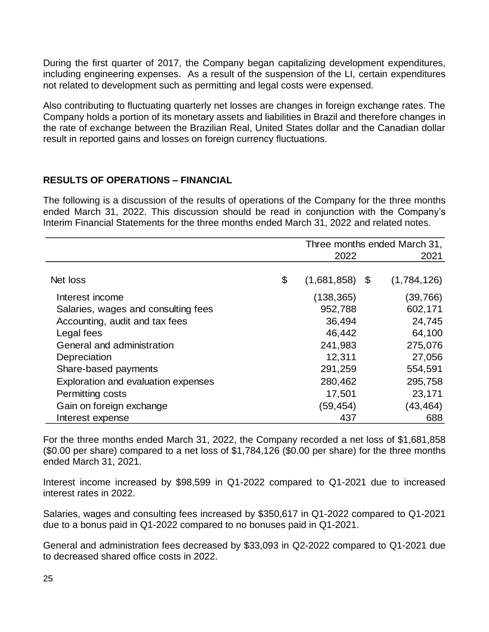During the first quarter of 2017, the Company began capitalizing development expenditures, including engineering expenses. As a result of the suspension of the LI, certain expenditures not related to development such as permitting and legal costs were expensed.

Also contributing to fluctuating quarterly net losses are changes in foreign exchange rates. The Company holds a portion of its monetary assets and liabilities in Brazil and therefore changes in the rate of exchange between the Brazilian Real, United States dollar and the Canadian dollar result in reported gains and losses on foreign currency fluctuations.

### **RESULTS OF OPERATIONS – FINANCIAL**

The following is a discussion of the results of operations of the Company for the three months ended March 31, 2022. This discussion should be read in conjunction with the Company's Interim Financial Statements for the three months ended March 31, 2022 and related notes.

|                                     | Three months ended March 31, |  |             |  |
|-------------------------------------|------------------------------|--|-------------|--|
|                                     | 2022                         |  | 2021        |  |
|                                     |                              |  |             |  |
| Net loss                            | \$<br>$(1,681,858)$ \$       |  | (1,784,126) |  |
| Interest income                     | (138, 365)                   |  | (39,766)    |  |
| Salaries, wages and consulting fees | 952,788                      |  | 602,171     |  |
| Accounting, audit and tax fees      | 36,494                       |  | 24,745      |  |
| Legal fees                          | 46,442                       |  | 64,100      |  |
| General and administration          | 241,983                      |  | 275,076     |  |
| Depreciation                        | 12,311                       |  | 27,056      |  |
| Share-based payments                | 291,259                      |  | 554,591     |  |
| Exploration and evaluation expenses | 280,462                      |  | 295,758     |  |
| Permitting costs                    | 17,501                       |  | 23,171      |  |
| Gain on foreign exchange            | (59,454)                     |  | (43,464)    |  |
| Interest expense                    | 437                          |  | 688         |  |

For the three months ended March 31, 2022, the Company recorded a net loss of \$1,681,858 (\$0.00 per share) compared to a net loss of \$1,784,126 (\$0.00 per share) for the three months ended March 31, 2021.

Interest income increased by \$98,599 in Q1-2022 compared to Q1-2021 due to increased interest rates in 2022.

Salaries, wages and consulting fees increased by \$350,617 in Q1-2022 compared to Q1-2021 due to a bonus paid in Q1-2022 compared to no bonuses paid in Q1-2021.

General and administration fees decreased by \$33,093 in Q2-2022 compared to Q1-2021 due to decreased shared office costs in 2022.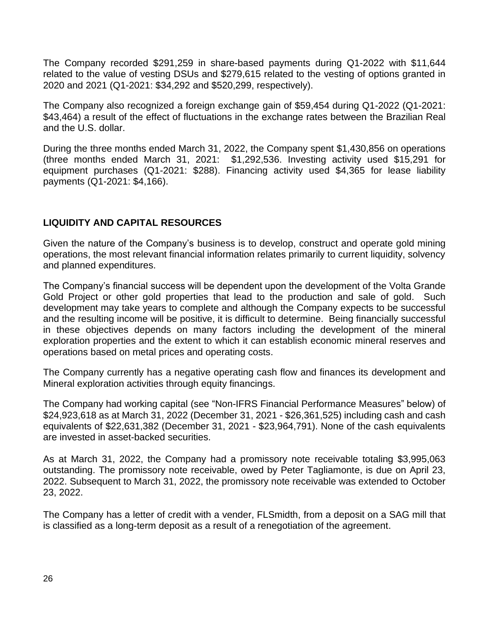The Company recorded \$291,259 in share-based payments during Q1-2022 with \$11,644 related to the value of vesting DSUs and \$279,615 related to the vesting of options granted in 2020 and 2021 (Q1-2021: \$34,292 and \$520,299, respectively).

The Company also recognized a foreign exchange gain of \$59,454 during Q1-2022 (Q1-2021: \$43,464) a result of the effect of fluctuations in the exchange rates between the Brazilian Real and the U.S. dollar.

During the three months ended March 31, 2022, the Company spent \$1,430,856 on operations (three months ended March 31, 2021: \$1,292,536. Investing activity used \$15,291 for equipment purchases (Q1-2021: \$288). Financing activity used \$4,365 for lease liability payments (Q1-2021: \$4,166).

### **LIQUIDITY AND CAPITAL RESOURCES**

Given the nature of the Company's business is to develop, construct and operate gold mining operations, the most relevant financial information relates primarily to current liquidity, solvency and planned expenditures.

The Company's financial success will be dependent upon the development of the Volta Grande Gold Project or other gold properties that lead to the production and sale of gold. Such development may take years to complete and although the Company expects to be successful and the resulting income will be positive, it is difficult to determine. Being financially successful in these objectives depends on many factors including the development of the mineral exploration properties and the extent to which it can establish economic mineral reserves and operations based on metal prices and operating costs.

The Company currently has a negative operating cash flow and finances its development and Mineral exploration activities through equity financings.

The Company had working capital (see "Non-IFRS Financial Performance Measures" below) of \$24,923,618 as at March 31, 2022 (December 31, 2021 - \$26,361,525) including cash and cash equivalents of \$22,631,382 (December 31, 2021 - \$23,964,791). None of the cash equivalents are invested in asset-backed securities.

As at March 31, 2022, the Company had a promissory note receivable totaling \$3,995,063 outstanding. The promissory note receivable, owed by Peter Tagliamonte, is due on April 23, 2022. Subsequent to March 31, 2022, the promissory note receivable was extended to October 23, 2022.

The Company has a letter of credit with a vender, FLSmidth, from a deposit on a SAG mill that is classified as a long-term deposit as a result of a renegotiation of the agreement.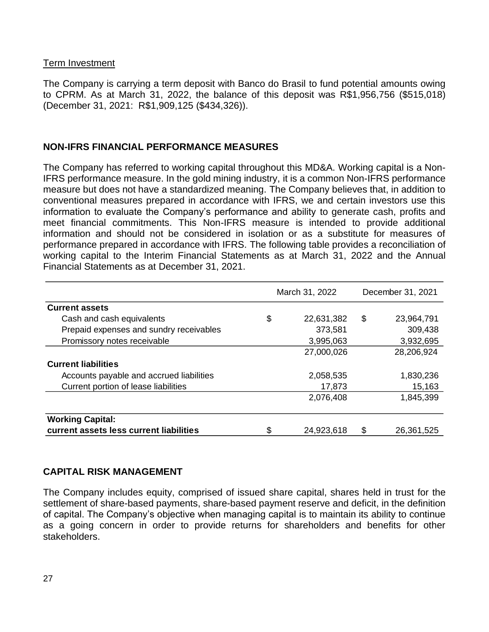#### Term Investment

The Company is carrying a term deposit with Banco do Brasil to fund potential amounts owing to CPRM. As at March 31, 2022, the balance of this deposit was R\$1,956,756 (\$515,018) (December 31, 2021: R\$1,909,125 (\$434,326)).

#### **NON-IFRS FINANCIAL PERFORMANCE MEASURES**

The Company has referred to working capital throughout this MD&A. Working capital is a Non-IFRS performance measure. In the gold mining industry, it is a common Non-IFRS performance measure but does not have a standardized meaning. The Company believes that, in addition to conventional measures prepared in accordance with IFRS, we and certain investors use this information to evaluate the Company's performance and ability to generate cash, profits and meet financial commitments. This Non-IFRS measure is intended to provide additional information and should not be considered in isolation or as a substitute for measures of performance prepared in accordance with IFRS. The following table provides a reconciliation of working capital to the Interim Financial Statements as at March 31, 2022 and the Annual Financial Statements as at December 31, 2021.

|                                          | March 31, 2022   |    | December 31, 2021 |
|------------------------------------------|------------------|----|-------------------|
| <b>Current assets</b>                    |                  |    |                   |
| Cash and cash equivalents                | \$<br>22,631,382 | \$ | 23,964,791        |
| Prepaid expenses and sundry receivables  | 373,581          |    | 309,438           |
| Promissory notes receivable              | 3,995,063        |    | 3,932,695         |
|                                          | 27,000,026       |    | 28,206,924        |
| <b>Current liabilities</b>               |                  |    |                   |
| Accounts payable and accrued liabilities | 2,058,535        |    | 1,830,236         |
| Current portion of lease liabilities     | 17,873           |    | 15,163            |
|                                          | 2,076,408        |    | 1,845,399         |
| <b>Working Capital:</b>                  |                  |    |                   |
| current assets less current liabilities  | \$<br>24,923,618 | \$ | 26,361,525        |

#### **CAPITAL RISK MANAGEMENT**

The Company includes equity, comprised of issued share capital, shares held in trust for the settlement of share-based payments, share-based payment reserve and deficit, in the definition of capital. The Company's objective when managing capital is to maintain its ability to continue as a going concern in order to provide returns for shareholders and benefits for other stakeholders.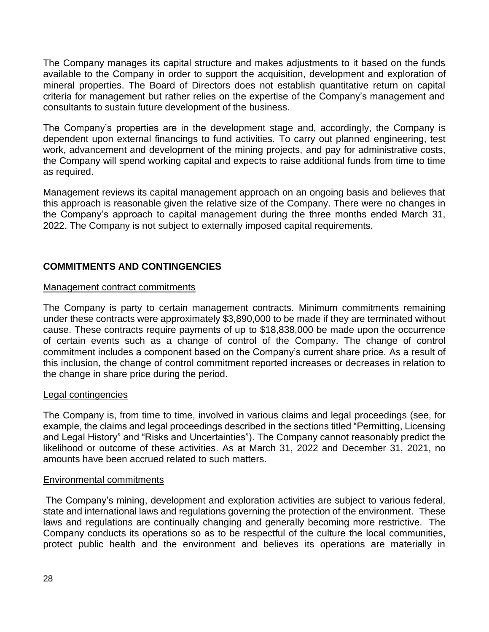The Company manages its capital structure and makes adjustments to it based on the funds available to the Company in order to support the acquisition, development and exploration of mineral properties. The Board of Directors does not establish quantitative return on capital criteria for management but rather relies on the expertise of the Company's management and consultants to sustain future development of the business.

The Company's properties are in the development stage and, accordingly, the Company is dependent upon external financings to fund activities. To carry out planned engineering, test work, advancement and development of the mining projects, and pay for administrative costs, the Company will spend working capital and expects to raise additional funds from time to time as required.

Management reviews its capital management approach on an ongoing basis and believes that this approach is reasonable given the relative size of the Company. There were no changes in the Company's approach to capital management during the three months ended March 31, 2022. The Company is not subject to externally imposed capital requirements.

### **COMMITMENTS AND CONTINGENCIES**

#### Management contract commitments

The Company is party to certain management contracts. Minimum commitments remaining under these contracts were approximately \$3,890,000 to be made if they are terminated without cause. These contracts require payments of up to \$18,838,000 be made upon the occurrence of certain events such as a change of control of the Company. The change of control commitment includes a component based on the Company's current share price. As a result of this inclusion, the change of control commitment reported increases or decreases in relation to the change in share price during the period.

#### Legal contingencies

The Company is, from time to time, involved in various claims and legal proceedings (see, for example, the claims and legal proceedings described in the sections titled "Permitting, Licensing and Legal History" and "Risks and Uncertainties"). The Company cannot reasonably predict the likelihood or outcome of these activities. As at March 31, 2022 and December 31, 2021, no amounts have been accrued related to such matters.

#### Environmental commitments

The Company's mining, development and exploration activities are subject to various federal, state and international laws and regulations governing the protection of the environment. These laws and regulations are continually changing and generally becoming more restrictive. The Company conducts its operations so as to be respectful of the culture the local communities, protect public health and the environment and believes its operations are materially in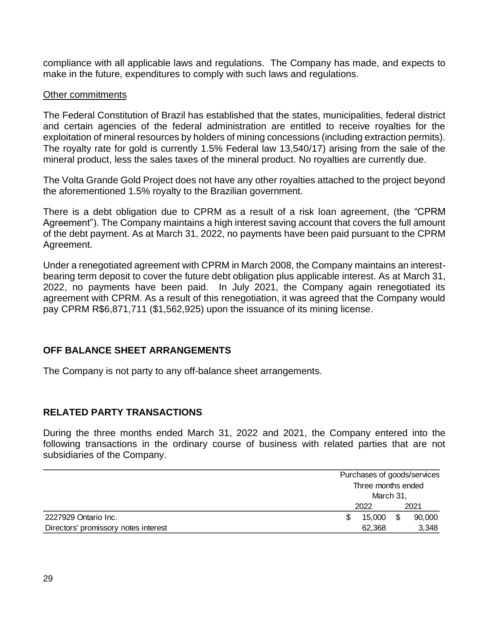compliance with all applicable laws and regulations. The Company has made, and expects to make in the future, expenditures to comply with such laws and regulations.

#### Other commitments

The Federal Constitution of Brazil has established that the states, municipalities, federal district and certain agencies of the federal administration are entitled to receive royalties for the exploitation of mineral resources by holders of mining concessions (including extraction permits). The royalty rate for gold is currently 1.5% Federal law 13,540/17) arising from the sale of the mineral product, less the sales taxes of the mineral product. No royalties are currently due.

The Volta Grande Gold Project does not have any other royalties attached to the project beyond the aforementioned 1.5% royalty to the Brazilian government.

There is a debt obligation due to CPRM as a result of a risk loan agreement, (the "CPRM Agreement"). The Company maintains a high interest saving account that covers the full amount of the debt payment. As at March 31, 2022, no payments have been paid pursuant to the CPRM Agreement.

Under a renegotiated agreement with CPRM in March 2008, the Company maintains an interestbearing term deposit to cover the future debt obligation plus applicable interest. As at March 31, 2022, no payments have been paid. In July 2021, the Company again renegotiated its agreement with CPRM. As a result of this renegotiation, it was agreed that the Company would pay CPRM R\$6,871,711 (\$1,562,925) upon the issuance of its mining license.

#### **OFF BALANCE SHEET ARRANGEMENTS**

The Company is not party to any off-balance sheet arrangements.

#### **RELATED PARTY TRANSACTIONS**

During the three months ended March 31, 2022 and 2021, the Company entered into the following transactions in the ordinary course of business with related parties that are not subsidiaries of the Company.

|                                      | Purchases of goods/services     |    |        |
|--------------------------------------|---------------------------------|----|--------|
|                                      | Three months ended<br>March 31, |    |        |
|                                      | 2022                            |    | 2021   |
| 2227929 Ontario Inc.                 | 15,000                          | \$ | 90,000 |
| Directors' promissory notes interest | 62.368                          |    |        |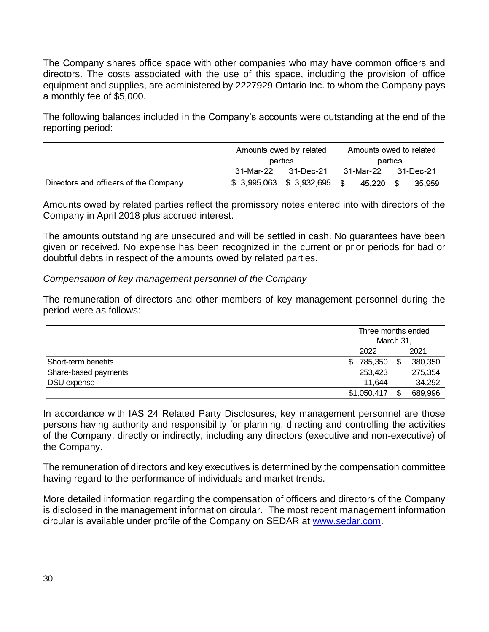The Company shares office space with other companies who may have common officers and directors. The costs associated with the use of this space, including the provision of office equipment and supplies, are administered by 2227929 Ontario Inc. to whom the Company pays a monthly fee of \$5,000.

The following balances included in the Company's accounts were outstanding at the end of the reporting period:

|                                       | Amounts owed by related<br>parties |                           |      | Amounts owed to related |      |           |  |
|---------------------------------------|------------------------------------|---------------------------|------|-------------------------|------|-----------|--|
|                                       |                                    |                           |      | parties                 |      |           |  |
|                                       | 31-Mar-22<br>31-Dec-21             |                           |      | 31-Mar-22               |      | 31-Dec-21 |  |
| Directors and officers of the Company |                                    | \$ 3,995,063 \$ 3,932,695 | - \$ | 45.220                  | - \$ | 35,959    |  |

Amounts owed by related parties reflect the promissory notes entered into with directors of the Company in April 2018 plus accrued interest.

The amounts outstanding are unsecured and will be settled in cash. No guarantees have been given or received. No expense has been recognized in the current or prior periods for bad or doubtful debts in respect of the amounts owed by related parties.

#### *Compensation of key management personnel of the Company*

The remuneration of directors and other members of key management personnel during the period were as follows:

|                      |                | Three months ended<br>March 31, |         |  |
|----------------------|----------------|---------------------------------|---------|--|
|                      | 2022           |                                 | 2021    |  |
| Short-term benefits  | 785,350<br>\$. | \$                              | 380,350 |  |
| Share-based payments | 253,423        |                                 | 275,354 |  |
| DSU expense          | 11,644         |                                 | 34,292  |  |
|                      | \$1,050,417    | \$.                             | 689,996 |  |

In accordance with IAS 24 Related Party Disclosures, key management personnel are those persons having authority and responsibility for planning, directing and controlling the activities of the Company, directly or indirectly, including any directors (executive and non-executive) of the Company.

The remuneration of directors and key executives is determined by the compensation committee having regard to the performance of individuals and market trends.

More detailed information regarding the compensation of officers and directors of the Company is disclosed in the management information circular. The most recent management information circular is available under profile of the Company on SEDAR at [www.sedar.com.](http://www.sedar.com/)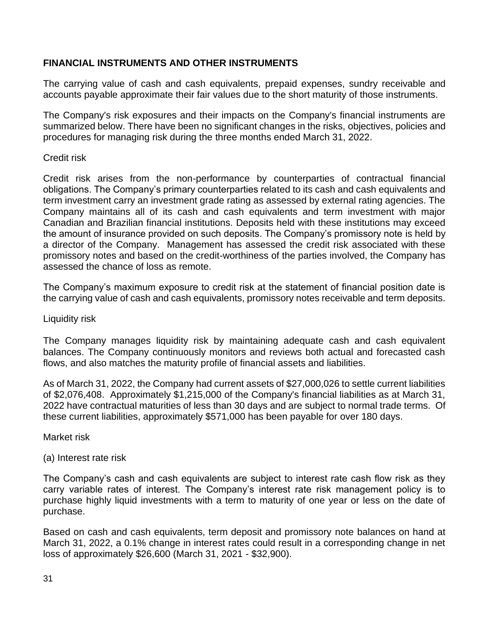### **FINANCIAL INSTRUMENTS AND OTHER INSTRUMENTS**

The carrying value of cash and cash equivalents, prepaid expenses, sundry receivable and accounts payable approximate their fair values due to the short maturity of those instruments.

The Company's risk exposures and their impacts on the Company's financial instruments are summarized below. There have been no significant changes in the risks, objectives, policies and procedures for managing risk during the three months ended March 31, 2022.

#### Credit risk

Credit risk arises from the non-performance by counterparties of contractual financial obligations. The Company's primary counterparties related to its cash and cash equivalents and term investment carry an investment grade rating as assessed by external rating agencies. The Company maintains all of its cash and cash equivalents and term investment with major Canadian and Brazilian financial institutions. Deposits held with these institutions may exceed the amount of insurance provided on such deposits. The Company's promissory note is held by a director of the Company. Management has assessed the credit risk associated with these promissory notes and based on the credit-worthiness of the parties involved, the Company has assessed the chance of loss as remote.

The Company's maximum exposure to credit risk at the statement of financial position date is the carrying value of cash and cash equivalents, promissory notes receivable and term deposits.

#### Liquidity risk

The Company manages liquidity risk by maintaining adequate cash and cash equivalent balances. The Company continuously monitors and reviews both actual and forecasted cash flows, and also matches the maturity profile of financial assets and liabilities.

As of March 31, 2022, the Company had current assets of \$27,000,026 to settle current liabilities of \$2,076,408. Approximately \$1,215,000 of the Company's financial liabilities as at March 31, 2022 have contractual maturities of less than 30 days and are subject to normal trade terms. Of these current liabilities, approximately \$571,000 has been payable for over 180 days.

Market risk

(a) Interest rate risk

The Company's cash and cash equivalents are subject to interest rate cash flow risk as they carry variable rates of interest. The Company's interest rate risk management policy is to purchase highly liquid investments with a term to maturity of one year or less on the date of purchase.

Based on cash and cash equivalents, term deposit and promissory note balances on hand at March 31, 2022, a 0.1% change in interest rates could result in a corresponding change in net loss of approximately \$26,600 (March 31, 2021 - \$32,900).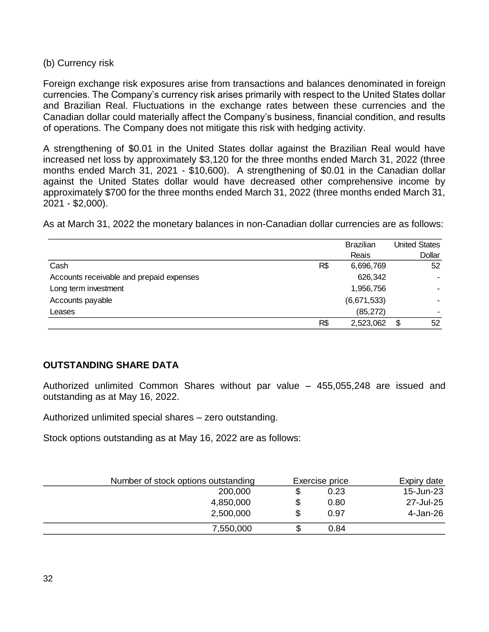#### (b) Currency risk

Foreign exchange risk exposures arise from transactions and balances denominated in foreign currencies. The Company's currency risk arises primarily with respect to the United States dollar and Brazilian Real. Fluctuations in the exchange rates between these currencies and the Canadian dollar could materially affect the Company's business, financial condition, and results of operations. The Company does not mitigate this risk with hedging activity.

A strengthening of \$0.01 in the United States dollar against the Brazilian Real would have increased net loss by approximately \$3,120 for the three months ended March 31, 2022 (three months ended March 31, 2021 - \$10,600). A strengthening of \$0.01 in the Canadian dollar against the United States dollar would have decreased other comprehensive income by approximately \$700 for the three months ended March 31, 2022 (three months ended March 31, 2021 - \$2,000).

As at March 31, 2022 the monetary balances in non-Canadian dollar currencies are as follows:

|                                          |     | <b>Brazilian</b> | <b>United States</b> |
|------------------------------------------|-----|------------------|----------------------|
|                                          |     | Reais            | <b>Dollar</b>        |
| Cash                                     | R\$ | 6,696,769        | 52                   |
| Accounts receivable and prepaid expenses |     | 626,342          |                      |
| Long term investment                     |     | 1,956,756        |                      |
| Accounts payable                         |     | (6,671,533)      |                      |
| Leases                                   |     | (85, 272)        |                      |
|                                          | R\$ | 2,523,062        | \$<br>52             |

### **OUTSTANDING SHARE DATA**

Authorized unlimited Common Shares without par value – 455,055,248 are issued and outstanding as at May 16, 2022.

Authorized unlimited special shares – zero outstanding.

Stock options outstanding as at May 16, 2022 are as follows:

| Number of stock options outstanding | Exercise price | Expiry date |
|-------------------------------------|----------------|-------------|
| 200,000                             | \$<br>0.23     | 15-Jun-23   |
| 4,850,000                           | \$<br>0.80     | 27-Jul-25   |
| 2,500,000                           | \$<br>0.97     | 4-Jan-26    |
| 7,550,000                           | 0.84           |             |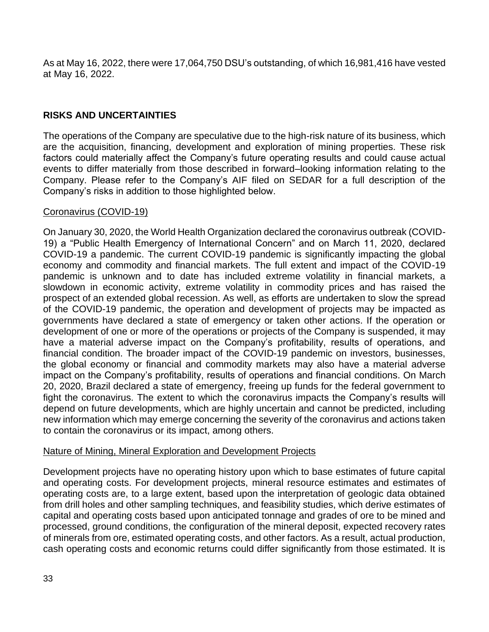As at May 16, 2022, there were 17,064,750 DSU's outstanding, of which 16,981,416 have vested at May 16, 2022.

### **RISKS AND UNCERTAINTIES**

The operations of the Company are speculative due to the high-risk nature of its business, which are the acquisition, financing, development and exploration of mining properties. These risk factors could materially affect the Company's future operating results and could cause actual events to differ materially from those described in forward–looking information relating to the Company. Please refer to the Company's AIF filed on SEDAR for a full description of the Company's risks in addition to those highlighted below.

#### Coronavirus (COVID-19)

On January 30, 2020, the World Health Organization declared the coronavirus outbreak (COVID-19) a "Public Health Emergency of International Concern" and on March 11, 2020, declared COVID-19 a pandemic. The current COVID-19 pandemic is significantly impacting the global economy and commodity and financial markets. The full extent and impact of the COVID-19 pandemic is unknown and to date has included extreme volatility in financial markets, a slowdown in economic activity, extreme volatility in commodity prices and has raised the prospect of an extended global recession. As well, as efforts are undertaken to slow the spread of the COVID-19 pandemic, the operation and development of projects may be impacted as governments have declared a state of emergency or taken other actions. If the operation or development of one or more of the operations or projects of the Company is suspended, it may have a material adverse impact on the Company's profitability, results of operations, and financial condition. The broader impact of the COVID-19 pandemic on investors, businesses, the global economy or financial and commodity markets may also have a material adverse impact on the Company's profitability, results of operations and financial conditions. On March 20, 2020, Brazil declared a state of emergency, freeing up funds for the federal government to fight the coronavirus. The extent to which the coronavirus impacts the Company's results will depend on future developments, which are highly uncertain and cannot be predicted, including new information which may emerge concerning the severity of the coronavirus and actions taken to contain the coronavirus or its impact, among others.

#### Nature of Mining, Mineral Exploration and Development Projects

Development projects have no operating history upon which to base estimates of future capital and operating costs. For development projects, mineral resource estimates and estimates of operating costs are, to a large extent, based upon the interpretation of geologic data obtained from drill holes and other sampling techniques, and feasibility studies, which derive estimates of capital and operating costs based upon anticipated tonnage and grades of ore to be mined and processed, ground conditions, the configuration of the mineral deposit, expected recovery rates of minerals from ore, estimated operating costs, and other factors. As a result, actual production, cash operating costs and economic returns could differ significantly from those estimated. It is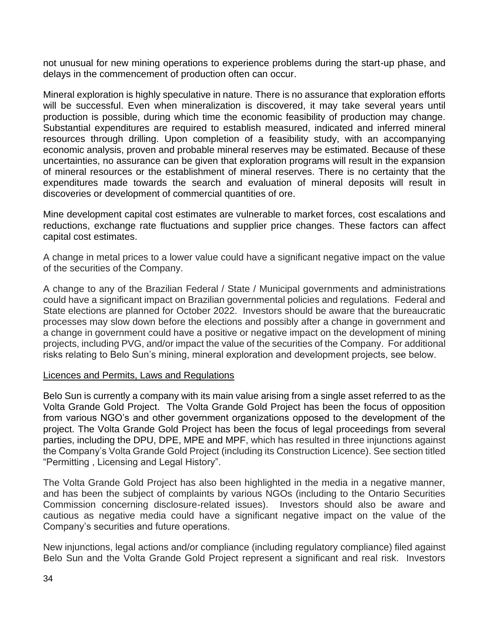not unusual for new mining operations to experience problems during the start-up phase, and delays in the commencement of production often can occur.

Mineral exploration is highly speculative in nature. There is no assurance that exploration efforts will be successful. Even when mineralization is discovered, it may take several years until production is possible, during which time the economic feasibility of production may change. Substantial expenditures are required to establish measured, indicated and inferred mineral resources through drilling. Upon completion of a feasibility study, with an accompanying economic analysis, proven and probable mineral reserves may be estimated. Because of these uncertainties, no assurance can be given that exploration programs will result in the expansion of mineral resources or the establishment of mineral reserves. There is no certainty that the expenditures made towards the search and evaluation of mineral deposits will result in discoveries or development of commercial quantities of ore.

Mine development capital cost estimates are vulnerable to market forces, cost escalations and reductions, exchange rate fluctuations and supplier price changes. These factors can affect capital cost estimates.

A change in metal prices to a lower value could have a significant negative impact on the value of the securities of the Company.

A change to any of the Brazilian Federal / State / Municipal governments and administrations could have a significant impact on Brazilian governmental policies and regulations. Federal and State elections are planned for October 2022. Investors should be aware that the bureaucratic processes may slow down before the elections and possibly after a change in government and a change in government could have a positive or negative impact on the development of mining projects, including PVG, and/or impact the value of the securities of the Company. For additional risks relating to Belo Sun's mining, mineral exploration and development projects, see below.

#### Licences and Permits, Laws and Regulations

Belo Sun is currently a company with its main value arising from a single asset referred to as the Volta Grande Gold Project. The Volta Grande Gold Project has been the focus of opposition from various NGO's and other government organizations opposed to the development of the project. The Volta Grande Gold Project has been the focus of legal proceedings from several parties, including the DPU, DPE, MPE and MPF, which has resulted in three injunctions against the Company's Volta Grande Gold Project (including its Construction Licence). See section titled "Permitting , Licensing and Legal History".

The Volta Grande Gold Project has also been highlighted in the media in a negative manner, and has been the subject of complaints by various NGOs (including to the Ontario Securities Commission concerning disclosure-related issues). Investors should also be aware and cautious as negative media could have a significant negative impact on the value of the Company's securities and future operations.

New injunctions, legal actions and/or compliance (including regulatory compliance) filed against Belo Sun and the Volta Grande Gold Project represent a significant and real risk. Investors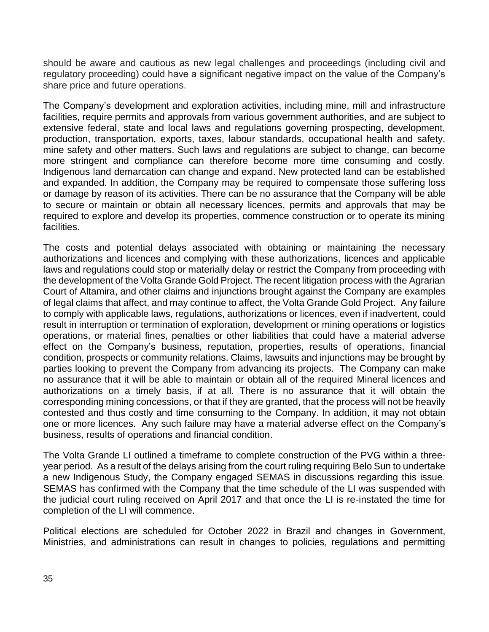should be aware and cautious as new legal challenges and proceedings (including civil and regulatory proceeding) could have a significant negative impact on the value of the Company's share price and future operations.

The Company's development and exploration activities, including mine, mill and infrastructure facilities, require permits and approvals from various government authorities, and are subject to extensive federal, state and local laws and regulations governing prospecting, development, production, transportation, exports, taxes, labour standards, occupational health and safety, mine safety and other matters. Such laws and regulations are subject to change, can become more stringent and compliance can therefore become more time consuming and costly. Indigenous land demarcation can change and expand. New protected land can be established and expanded. In addition, the Company may be required to compensate those suffering loss or damage by reason of its activities. There can be no assurance that the Company will be able to secure or maintain or obtain all necessary licences, permits and approvals that may be required to explore and develop its properties, commence construction or to operate its mining facilities.

The costs and potential delays associated with obtaining or maintaining the necessary authorizations and licences and complying with these authorizations, licences and applicable laws and regulations could stop or materially delay or restrict the Company from proceeding with the development of the Volta Grande Gold Project. The recent litigation process with the Agrarian Court of Altamira, and other claims and injunctions brought against the Company are examples of legal claims that affect, and may continue to affect, the Volta Grande Gold Project. Any failure to comply with applicable laws, regulations, authorizations or licences, even if inadvertent, could result in interruption or termination of exploration, development or mining operations or logistics operations, or material fines, penalties or other liabilities that could have a material adverse effect on the Company's business, reputation, properties, results of operations, financial condition, prospects or community relations. Claims, lawsuits and injunctions may be brought by parties looking to prevent the Company from advancing its projects. The Company can make no assurance that it will be able to maintain or obtain all of the required Mineral licences and authorizations on a timely basis, if at all. There is no assurance that it will obtain the corresponding mining concessions, or that if they are granted, that the process will not be heavily contested and thus costly and time consuming to the Company. In addition, it may not obtain one or more licences. Any such failure may have a material adverse effect on the Company's business, results of operations and financial condition.

The Volta Grande LI outlined a timeframe to complete construction of the PVG within a threeyear period. As a result of the delays arising from the court ruling requiring Belo Sun to undertake a new Indigenous Study, the Company engaged SEMAS in discussions regarding this issue. SEMAS has confirmed with the Company that the time schedule of the LI was suspended with the judicial court ruling received on April 2017 and that once the LI is re-instated the time for completion of the LI will commence.

Political elections are scheduled for October 2022 in Brazil and changes in Government, Ministries, and administrations can result in changes to policies, regulations and permitting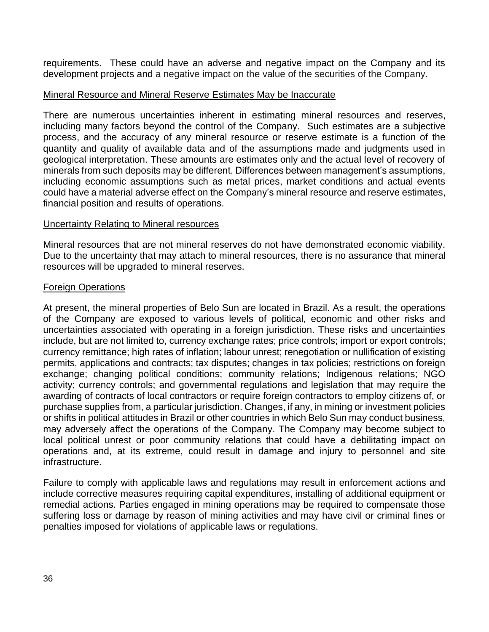requirements. These could have an adverse and negative impact on the Company and its development projects and a negative impact on the value of the securities of the Company.

#### Mineral Resource and Mineral Reserve Estimates May be Inaccurate

There are numerous uncertainties inherent in estimating mineral resources and reserves, including many factors beyond the control of the Company. Such estimates are a subjective process, and the accuracy of any mineral resource or reserve estimate is a function of the quantity and quality of available data and of the assumptions made and judgments used in geological interpretation. These amounts are estimates only and the actual level of recovery of minerals from such deposits may be different. Differences between management's assumptions, including economic assumptions such as metal prices, market conditions and actual events could have a material adverse effect on the Company's mineral resource and reserve estimates, financial position and results of operations.

#### Uncertainty Relating to Mineral resources

Mineral resources that are not mineral reserves do not have demonstrated economic viability. Due to the uncertainty that may attach to mineral resources, there is no assurance that mineral resources will be upgraded to mineral reserves.

#### Foreign Operations

At present, the mineral properties of Belo Sun are located in Brazil. As a result, the operations of the Company are exposed to various levels of political, economic and other risks and uncertainties associated with operating in a foreign jurisdiction. These risks and uncertainties include, but are not limited to, currency exchange rates; price controls; import or export controls; currency remittance; high rates of inflation; labour unrest; renegotiation or nullification of existing permits, applications and contracts; tax disputes; changes in tax policies; restrictions on foreign exchange; changing political conditions; community relations; Indigenous relations; NGO activity; currency controls; and governmental regulations and legislation that may require the awarding of contracts of local contractors or require foreign contractors to employ citizens of, or purchase supplies from, a particular jurisdiction. Changes, if any, in mining or investment policies or shifts in political attitudes in Brazil or other countries in which Belo Sun may conduct business, may adversely affect the operations of the Company. The Company may become subject to local political unrest or poor community relations that could have a debilitating impact on operations and, at its extreme, could result in damage and injury to personnel and site infrastructure.

Failure to comply with applicable laws and regulations may result in enforcement actions and include corrective measures requiring capital expenditures, installing of additional equipment or remedial actions. Parties engaged in mining operations may be required to compensate those suffering loss or damage by reason of mining activities and may have civil or criminal fines or penalties imposed for violations of applicable laws or regulations.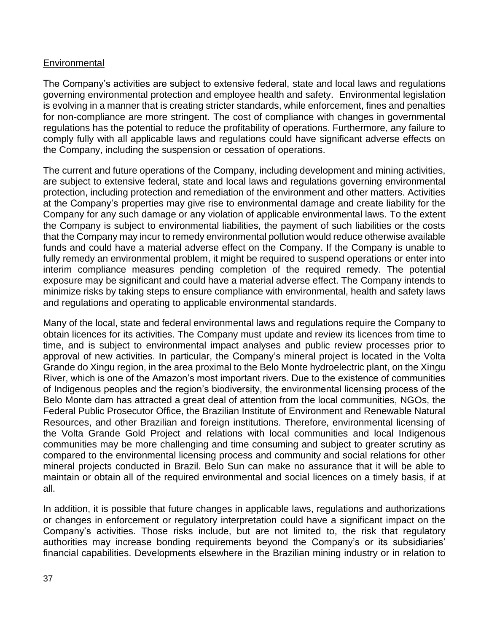### **Environmental**

The Company's activities are subject to extensive federal, state and local laws and regulations governing environmental protection and employee health and safety. Environmental legislation is evolving in a manner that is creating stricter standards, while enforcement, fines and penalties for non-compliance are more stringent. The cost of compliance with changes in governmental regulations has the potential to reduce the profitability of operations. Furthermore, any failure to comply fully with all applicable laws and regulations could have significant adverse effects on the Company, including the suspension or cessation of operations.

The current and future operations of the Company, including development and mining activities, are subject to extensive federal, state and local laws and regulations governing environmental protection, including protection and remediation of the environment and other matters. Activities at the Company's properties may give rise to environmental damage and create liability for the Company for any such damage or any violation of applicable environmental laws. To the extent the Company is subject to environmental liabilities, the payment of such liabilities or the costs that the Company may incur to remedy environmental pollution would reduce otherwise available funds and could have a material adverse effect on the Company. If the Company is unable to fully remedy an environmental problem, it might be required to suspend operations or enter into interim compliance measures pending completion of the required remedy. The potential exposure may be significant and could have a material adverse effect. The Company intends to minimize risks by taking steps to ensure compliance with environmental, health and safety laws and regulations and operating to applicable environmental standards.

Many of the local, state and federal environmental laws and regulations require the Company to obtain licences for its activities. The Company must update and review its licences from time to time, and is subject to environmental impact analyses and public review processes prior to approval of new activities. In particular, the Company's mineral project is located in the Volta Grande do Xingu region, in the area proximal to the Belo Monte hydroelectric plant, on the Xingu River, which is one of the Amazon's most important rivers. Due to the existence of communities of Indigenous peoples and the region's biodiversity, the environmental licensing process of the Belo Monte dam has attracted a great deal of attention from the local communities, NGOs, the Federal Public Prosecutor Office, the Brazilian Institute of Environment and Renewable Natural Resources, and other Brazilian and foreign institutions. Therefore, environmental licensing of the Volta Grande Gold Project and relations with local communities and local Indigenous communities may be more challenging and time consuming and subject to greater scrutiny as compared to the environmental licensing process and community and social relations for other mineral projects conducted in Brazil. Belo Sun can make no assurance that it will be able to maintain or obtain all of the required environmental and social licences on a timely basis, if at all.

In addition, it is possible that future changes in applicable laws, regulations and authorizations or changes in enforcement or regulatory interpretation could have a significant impact on the Company's activities. Those risks include, but are not limited to, the risk that regulatory authorities may increase bonding requirements beyond the Company's or its subsidiaries' financial capabilities. Developments elsewhere in the Brazilian mining industry or in relation to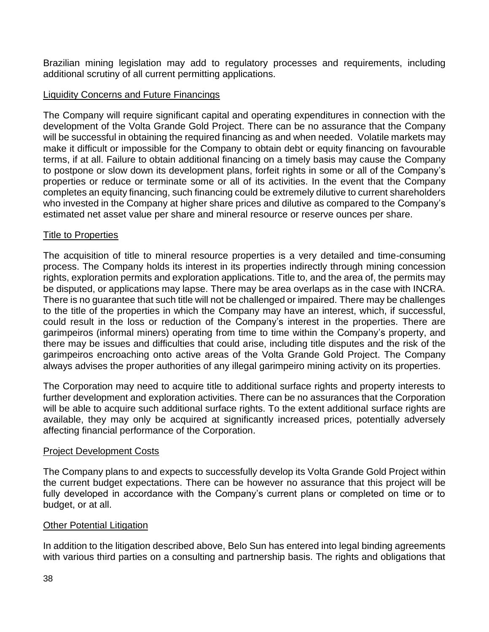Brazilian mining legislation may add to regulatory processes and requirements, including additional scrutiny of all current permitting applications.

### Liquidity Concerns and Future Financings

The Company will require significant capital and operating expenditures in connection with the development of the Volta Grande Gold Project. There can be no assurance that the Company will be successful in obtaining the required financing as and when needed. Volatile markets may make it difficult or impossible for the Company to obtain debt or equity financing on favourable terms, if at all. Failure to obtain additional financing on a timely basis may cause the Company to postpone or slow down its development plans, forfeit rights in some or all of the Company's properties or reduce or terminate some or all of its activities. In the event that the Company completes an equity financing, such financing could be extremely dilutive to current shareholders who invested in the Company at higher share prices and dilutive as compared to the Company's estimated net asset value per share and mineral resource or reserve ounces per share.

### Title to Properties

The acquisition of title to mineral resource properties is a very detailed and time-consuming process. The Company holds its interest in its properties indirectly through mining concession rights, exploration permits and exploration applications. Title to, and the area of, the permits may be disputed, or applications may lapse. There may be area overlaps as in the case with INCRA. There is no guarantee that such title will not be challenged or impaired. There may be challenges to the title of the properties in which the Company may have an interest, which, if successful, could result in the loss or reduction of the Company's interest in the properties. There are garimpeiros (informal miners) operating from time to time within the Company's property, and there may be issues and difficulties that could arise, including title disputes and the risk of the garimpeiros encroaching onto active areas of the Volta Grande Gold Project. The Company always advises the proper authorities of any illegal garimpeiro mining activity on its properties.

The Corporation may need to acquire title to additional surface rights and property interests to further development and exploration activities. There can be no assurances that the Corporation will be able to acquire such additional surface rights. To the extent additional surface rights are available, they may only be acquired at significantly increased prices, potentially adversely affecting financial performance of the Corporation.

#### Project Development Costs

The Company plans to and expects to successfully develop its Volta Grande Gold Project within the current budget expectations. There can be however no assurance that this project will be fully developed in accordance with the Company's current plans or completed on time or to budget, or at all.

#### Other Potential Litigation

In addition to the litigation described above, Belo Sun has entered into legal binding agreements with various third parties on a consulting and partnership basis. The rights and obligations that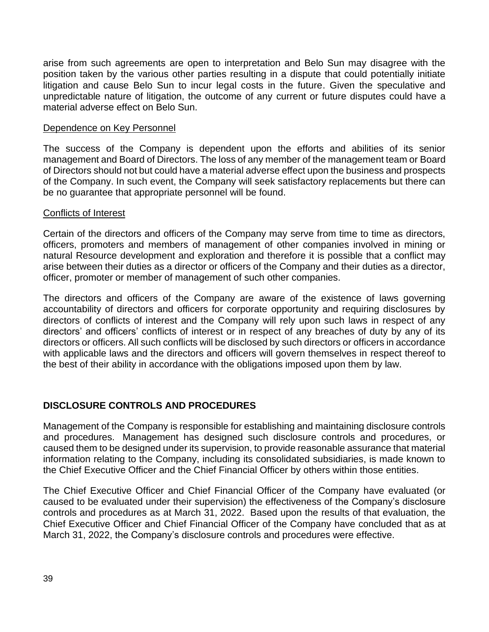arise from such agreements are open to interpretation and Belo Sun may disagree with the position taken by the various other parties resulting in a dispute that could potentially initiate litigation and cause Belo Sun to incur legal costs in the future. Given the speculative and unpredictable nature of litigation, the outcome of any current or future disputes could have a material adverse effect on Belo Sun.

#### Dependence on Key Personnel

The success of the Company is dependent upon the efforts and abilities of its senior management and Board of Directors. The loss of any member of the management team or Board of Directors should not but could have a material adverse effect upon the business and prospects of the Company. In such event, the Company will seek satisfactory replacements but there can be no guarantee that appropriate personnel will be found.

#### Conflicts of Interest

Certain of the directors and officers of the Company may serve from time to time as directors, officers, promoters and members of management of other companies involved in mining or natural Resource development and exploration and therefore it is possible that a conflict may arise between their duties as a director or officers of the Company and their duties as a director, officer, promoter or member of management of such other companies.

The directors and officers of the Company are aware of the existence of laws governing accountability of directors and officers for corporate opportunity and requiring disclosures by directors of conflicts of interest and the Company will rely upon such laws in respect of any directors' and officers' conflicts of interest or in respect of any breaches of duty by any of its directors or officers. All such conflicts will be disclosed by such directors or officers in accordance with applicable laws and the directors and officers will govern themselves in respect thereof to the best of their ability in accordance with the obligations imposed upon them by law.

### **DISCLOSURE CONTROLS AND PROCEDURES**

Management of the Company is responsible for establishing and maintaining disclosure controls and procedures. Management has designed such disclosure controls and procedures, or caused them to be designed under its supervision, to provide reasonable assurance that material information relating to the Company, including its consolidated subsidiaries, is made known to the Chief Executive Officer and the Chief Financial Officer by others within those entities.

The Chief Executive Officer and Chief Financial Officer of the Company have evaluated (or caused to be evaluated under their supervision) the effectiveness of the Company's disclosure controls and procedures as at March 31, 2022. Based upon the results of that evaluation, the Chief Executive Officer and Chief Financial Officer of the Company have concluded that as at March 31, 2022, the Company's disclosure controls and procedures were effective.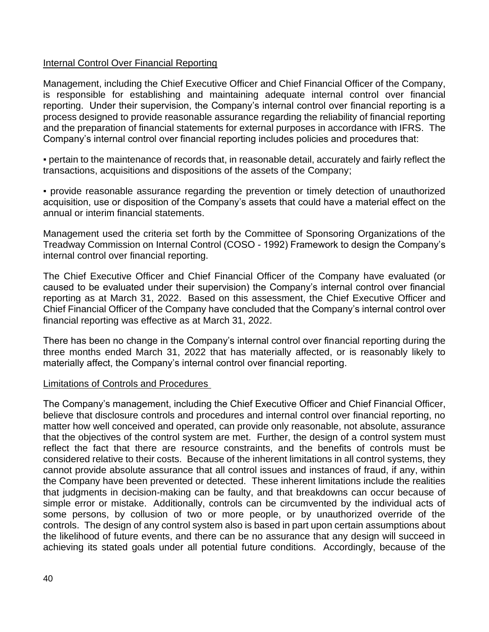### Internal Control Over Financial Reporting

Management, including the Chief Executive Officer and Chief Financial Officer of the Company, is responsible for establishing and maintaining adequate internal control over financial reporting. Under their supervision, the Company's internal control over financial reporting is a process designed to provide reasonable assurance regarding the reliability of financial reporting and the preparation of financial statements for external purposes in accordance with IFRS. The Company's internal control over financial reporting includes policies and procedures that:

▪ pertain to the maintenance of records that, in reasonable detail, accurately and fairly reflect the transactions, acquisitions and dispositions of the assets of the Company;

▪ provide reasonable assurance regarding the prevention or timely detection of unauthorized acquisition, use or disposition of the Company's assets that could have a material effect on the annual or interim financial statements.

Management used the criteria set forth by the Committee of Sponsoring Organizations of the Treadway Commission on Internal Control (COSO - 1992) Framework to design the Company's internal control over financial reporting.

The Chief Executive Officer and Chief Financial Officer of the Company have evaluated (or caused to be evaluated under their supervision) the Company's internal control over financial reporting as at March 31, 2022. Based on this assessment, the Chief Executive Officer and Chief Financial Officer of the Company have concluded that the Company's internal control over financial reporting was effective as at March 31, 2022.

There has been no change in the Company's internal control over financial reporting during the three months ended March 31, 2022 that has materially affected, or is reasonably likely to materially affect, the Company's internal control over financial reporting.

#### Limitations of Controls and Procedures

The Company's management, including the Chief Executive Officer and Chief Financial Officer, believe that disclosure controls and procedures and internal control over financial reporting, no matter how well conceived and operated, can provide only reasonable, not absolute, assurance that the objectives of the control system are met. Further, the design of a control system must reflect the fact that there are resource constraints, and the benefits of controls must be considered relative to their costs. Because of the inherent limitations in all control systems, they cannot provide absolute assurance that all control issues and instances of fraud, if any, within the Company have been prevented or detected. These inherent limitations include the realities that judgments in decision-making can be faulty, and that breakdowns can occur because of simple error or mistake. Additionally, controls can be circumvented by the individual acts of some persons, by collusion of two or more people, or by unauthorized override of the controls. The design of any control system also is based in part upon certain assumptions about the likelihood of future events, and there can be no assurance that any design will succeed in achieving its stated goals under all potential future conditions. Accordingly, because of the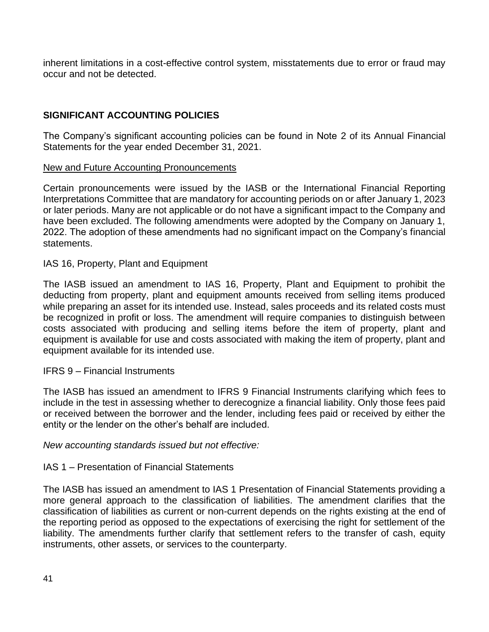inherent limitations in a cost-effective control system, misstatements due to error or fraud may occur and not be detected.

### **SIGNIFICANT ACCOUNTING POLICIES**

The Company's significant accounting policies can be found in Note 2 of its Annual Financial Statements for the year ended December 31, 2021.

#### New and Future Accounting Pronouncements

Certain pronouncements were issued by the IASB or the International Financial Reporting Interpretations Committee that are mandatory for accounting periods on or after January 1, 2023 or later periods. Many are not applicable or do not have a significant impact to the Company and have been excluded. The following amendments were adopted by the Company on January 1, 2022. The adoption of these amendments had no significant impact on the Company's financial statements.

#### IAS 16, Property, Plant and Equipment

The IASB issued an amendment to IAS 16, Property, Plant and Equipment to prohibit the deducting from property, plant and equipment amounts received from selling items produced while preparing an asset for its intended use. Instead, sales proceeds and its related costs must be recognized in profit or loss. The amendment will require companies to distinguish between costs associated with producing and selling items before the item of property, plant and equipment is available for use and costs associated with making the item of property, plant and equipment available for its intended use.

#### IFRS 9 – Financial Instruments

The IASB has issued an amendment to IFRS 9 Financial Instruments clarifying which fees to include in the test in assessing whether to derecognize a financial liability. Only those fees paid or received between the borrower and the lender, including fees paid or received by either the entity or the lender on the other's behalf are included.

#### *New accounting standards issued but not effective:*

#### IAS 1 – Presentation of Financial Statements

The IASB has issued an amendment to IAS 1 Presentation of Financial Statements providing a more general approach to the classification of liabilities. The amendment clarifies that the classification of liabilities as current or non-current depends on the rights existing at the end of the reporting period as opposed to the expectations of exercising the right for settlement of the liability. The amendments further clarify that settlement refers to the transfer of cash, equity instruments, other assets, or services to the counterparty.